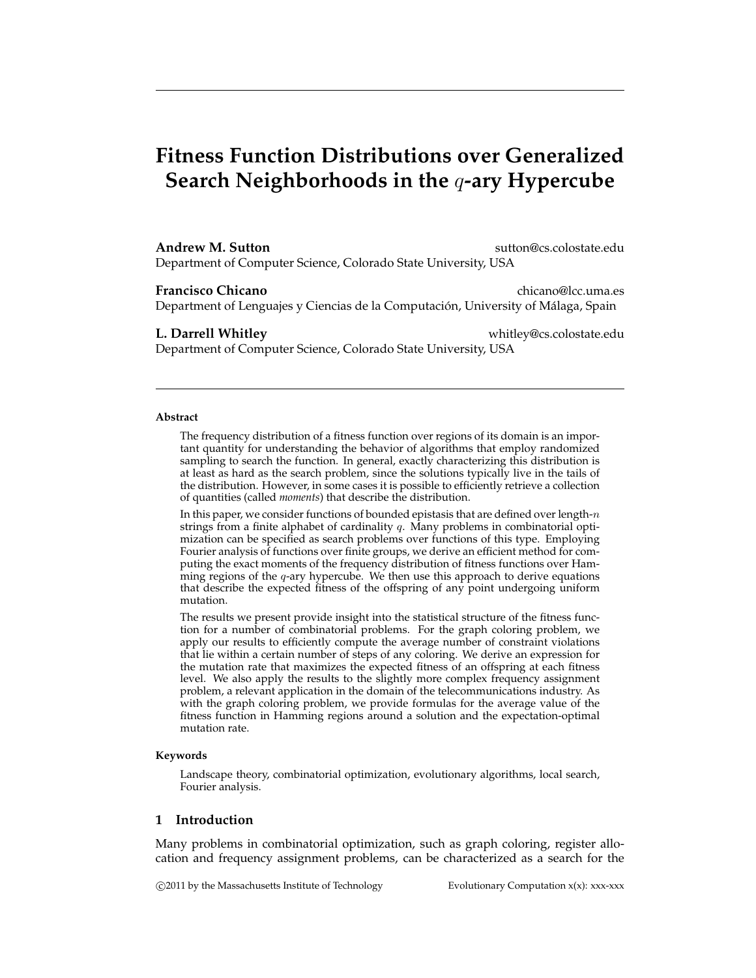# **Fitness Function Distributions over Generalized Search Neighborhoods in the** q**-ary Hypercube**

#### **Andrew M. Sutton** sutton and sutton extendion sutton extendion substantial substantial substantial substantial substantial substantial substantial substantial substantial substantial substantial substantial substantial su

Department of Computer Science, Colorado State University, USA

**Francisco Chicano** chicano chicano chicano chicano chicano chicano chicano chicano chicano chicano chicano chicano chicano chicano chicano chicano chicano chicano chicano chicano chicano chicano chicano chicano chicano ch Department of Lenguajes y Ciencias de la Computación, University of Málaga, Spain

**L. Darrell Whitley** whitley@cs.colostate.edu Department of Computer Science, Colorado State University, USA

#### **Abstract**

The frequency distribution of a fitness function over regions of its domain is an important quantity for understanding the behavior of algorithms that employ randomized sampling to search the function. In general, exactly characterizing this distribution is at least as hard as the search problem, since the solutions typically live in the tails of the distribution. However, in some cases it is possible to efficiently retrieve a collection of quantities (called *moments*) that describe the distribution.

In this paper, we consider functions of bounded epistasis that are defined over length- $n$ strings from a finite alphabet of cardinality  $q$ . Many problems in combinatorial optimization can be specified as search problems over functions of this type. Employing Fourier analysis of functions over finite groups, we derive an efficient method for computing the exact moments of the frequency distribution of fitness functions over Hamming regions of the  $q$ -ary hypercube. We then use this approach to derive equations that describe the expected fitness of the offspring of any point undergoing uniform mutation.

The results we present provide insight into the statistical structure of the fitness function for a number of combinatorial problems. For the graph coloring problem, we apply our results to efficiently compute the average number of constraint violations that lie within a certain number of steps of any coloring. We derive an expression for the mutation rate that maximizes the expected fitness of an offspring at each fitness level. We also apply the results to the slightly more complex frequency assignment problem, a relevant application in the domain of the telecommunications industry. As with the graph coloring problem, we provide formulas for the average value of the fitness function in Hamming regions around a solution and the expectation-optimal mutation rate.

#### **Keywords**

Landscape theory, combinatorial optimization, evolutionary algorithms, local search, Fourier analysis.

### **1 Introduction**

Many problems in combinatorial optimization, such as graph coloring, register allocation and frequency assignment problems, can be characterized as a search for the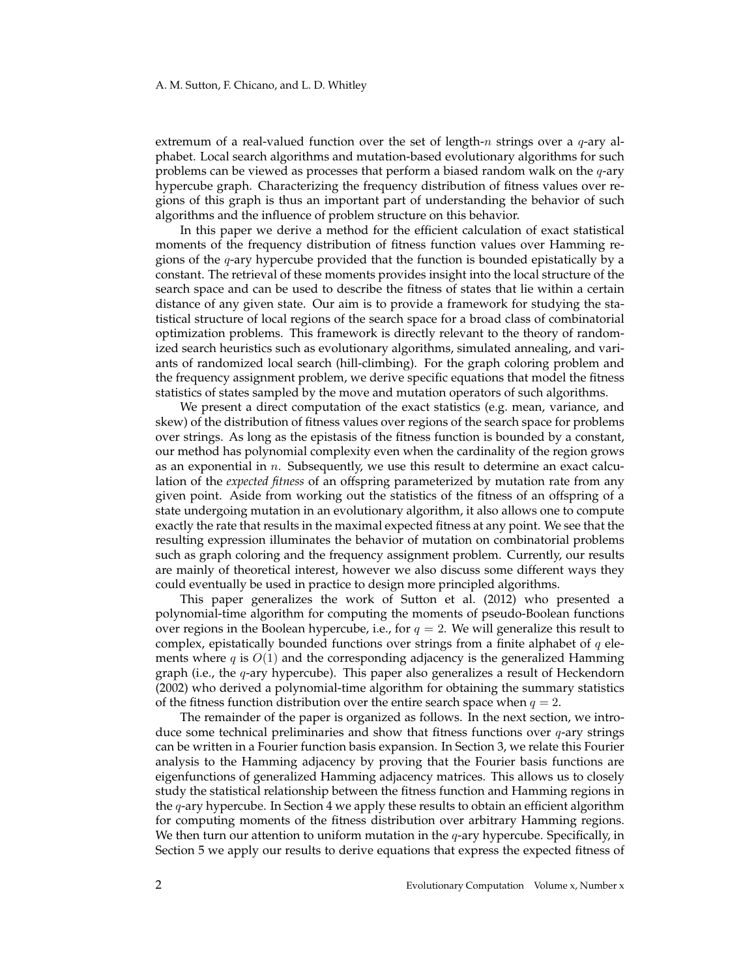extremum of a real-valued function over the set of length-n strings over a  $q$ -ary alphabet. Local search algorithms and mutation-based evolutionary algorithms for such problems can be viewed as processes that perform a biased random walk on the q-ary hypercube graph. Characterizing the frequency distribution of fitness values over regions of this graph is thus an important part of understanding the behavior of such algorithms and the influence of problem structure on this behavior.

In this paper we derive a method for the efficient calculation of exact statistical moments of the frequency distribution of fitness function values over Hamming regions of the  $q$ -ary hypercube provided that the function is bounded epistatically by a constant. The retrieval of these moments provides insight into the local structure of the search space and can be used to describe the fitness of states that lie within a certain distance of any given state. Our aim is to provide a framework for studying the statistical structure of local regions of the search space for a broad class of combinatorial optimization problems. This framework is directly relevant to the theory of randomized search heuristics such as evolutionary algorithms, simulated annealing, and variants of randomized local search (hill-climbing). For the graph coloring problem and the frequency assignment problem, we derive specific equations that model the fitness statistics of states sampled by the move and mutation operators of such algorithms.

We present a direct computation of the exact statistics (e.g. mean, variance, and skew) of the distribution of fitness values over regions of the search space for problems over strings. As long as the epistasis of the fitness function is bounded by a constant, our method has polynomial complexity even when the cardinality of the region grows as an exponential in  $n$ . Subsequently, we use this result to determine an exact calculation of the *expected fitness* of an offspring parameterized by mutation rate from any given point. Aside from working out the statistics of the fitness of an offspring of a state undergoing mutation in an evolutionary algorithm, it also allows one to compute exactly the rate that results in the maximal expected fitness at any point. We see that the resulting expression illuminates the behavior of mutation on combinatorial problems such as graph coloring and the frequency assignment problem. Currently, our results are mainly of theoretical interest, however we also discuss some different ways they could eventually be used in practice to design more principled algorithms.

This paper generalizes the work of Sutton et al. (2012) who presented a polynomial-time algorithm for computing the moments of pseudo-Boolean functions over regions in the Boolean hypercube, i.e., for  $q = 2$ . We will generalize this result to complex, epistatically bounded functions over strings from a finite alphabet of  $q$  elements where  $q$  is  $O(1)$  and the corresponding adjacency is the generalized Hamming graph (i.e., the  $q$ -ary hypercube). This paper also generalizes a result of Heckendorn (2002) who derived a polynomial-time algorithm for obtaining the summary statistics of the fitness function distribution over the entire search space when  $q = 2$ .

The remainder of the paper is organized as follows. In the next section, we introduce some technical preliminaries and show that fitness functions over  $q$ -ary strings can be written in a Fourier function basis expansion. In Section 3, we relate this Fourier analysis to the Hamming adjacency by proving that the Fourier basis functions are eigenfunctions of generalized Hamming adjacency matrices. This allows us to closely study the statistical relationship between the fitness function and Hamming regions in the q-ary hypercube. In Section 4 we apply these results to obtain an efficient algorithm for computing moments of the fitness distribution over arbitrary Hamming regions. We then turn our attention to uniform mutation in the  $q$ -ary hypercube. Specifically, in Section 5 we apply our results to derive equations that express the expected fitness of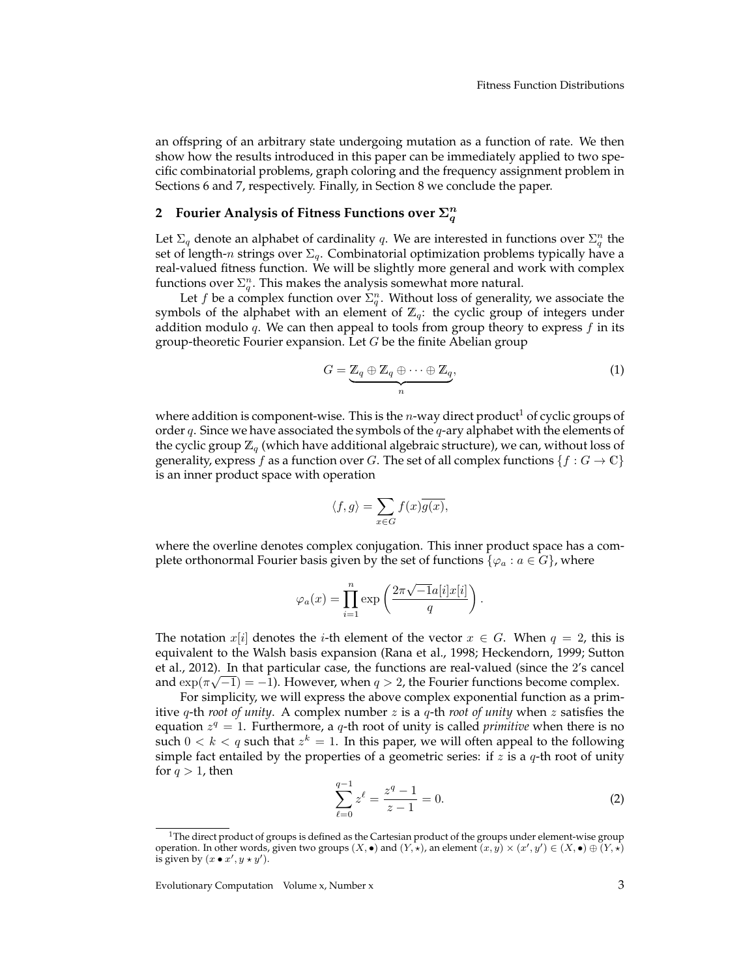an offspring of an arbitrary state undergoing mutation as a function of rate. We then show how the results introduced in this paper can be immediately applied to two specific combinatorial problems, graph coloring and the frequency assignment problem in Sections 6 and 7, respectively. Finally, in Section 8 we conclude the paper.

## 2 Fourier Analysis of Fitness Functions over  $\Sigma_q^n$

Let  $\Sigma_q$  denote an alphabet of cardinality q. We are interested in functions over  $\Sigma_q^n$  the set of length-n strings over  $\Sigma_q$ . Combinatorial optimization problems typically have a real-valued fitness function. We will be slightly more general and work with complex functions over  $\Sigma_q^n$ . This makes the analysis somewhat more natural.

Let f be a complex function over  $\Sigma_q^n$ . Without loss of generality, we associate the symbols of the alphabet with an element of  $\mathbb{Z}_q$ : the cyclic group of integers under addition modulo q. We can then appeal to tools from group theory to express  $f$  in its group-theoretic Fourier expansion. Let  $G$  be the finite Abelian group

$$
G = \underbrace{\mathbb{Z}_q \oplus \mathbb{Z}_q \oplus \cdots \oplus \mathbb{Z}_q}_{n},\tag{1}
$$

where addition is component-wise. This is the  $n$ -way direct product<sup>1</sup> of cyclic groups of order  $q$ . Since we have associated the symbols of the  $q$ -ary alphabet with the elements of the cyclic group  $\mathbb{Z}_q$  (which have additional algebraic structure), we can, without loss of generality, express f as a function over G. The set of all complex functions  $\{f : G \to \mathbb{C}\}\$ is an inner product space with operation

$$
\langle f, g \rangle = \sum_{x \in G} f(x) \overline{g(x)},
$$

where the overline denotes complex conjugation. This inner product space has a complete orthonormal Fourier basis given by the set of functions { $\varphi_a : a \in G$ }, where

$$
\varphi_a(x) = \prod_{i=1}^n \exp\left(\frac{2\pi\sqrt{-1}a[i]x[i]}{q}\right).
$$

The notation  $x[i]$  denotes the *i*-th element of the vector  $x \in G$ . When  $q = 2$ , this is equivalent to the Walsh basis expansion (Rana et al., 1998; Heckendorn, 1999; Sutton et al., 2012). In that particular case, the functions are real-valued (since the 2's cancel and  $\exp(\pi\sqrt{-1}) = -1$ ). However, when  $q > 2$ , the Fourier functions become complex.

For simplicity, we will express the above complex exponential function as a primitive q-th *root of unity*. A complex number z is a q-th *root of unity* when z satisfies the equation  $z^q = 1$ . Furthermore, a q-th root of unity is called *primitive* when there is no such  $0 < k < q$  such that  $z^k = 1$ . In this paper, we will often appeal to the following simple fact entailed by the properties of a geometric series: if  $z$  is a  $q$ -th root of unity for  $q > 1$ , then

$$
\sum_{\ell=0}^{q-1} z^{\ell} = \frac{z^q - 1}{z - 1} = 0.
$$
 (2)

<sup>&</sup>lt;sup>1</sup>The direct product of groups is defined as the Cartesian product of the groups under element-wise group operation. In other words, given two groups  $(X, \bullet)$  and  $(Y, \star)$ , an element  $(x, y) \times (x', y') \in (X, \bullet) \oplus (Y, \star)$ is given by  $(x \bullet x', y \star y')$ .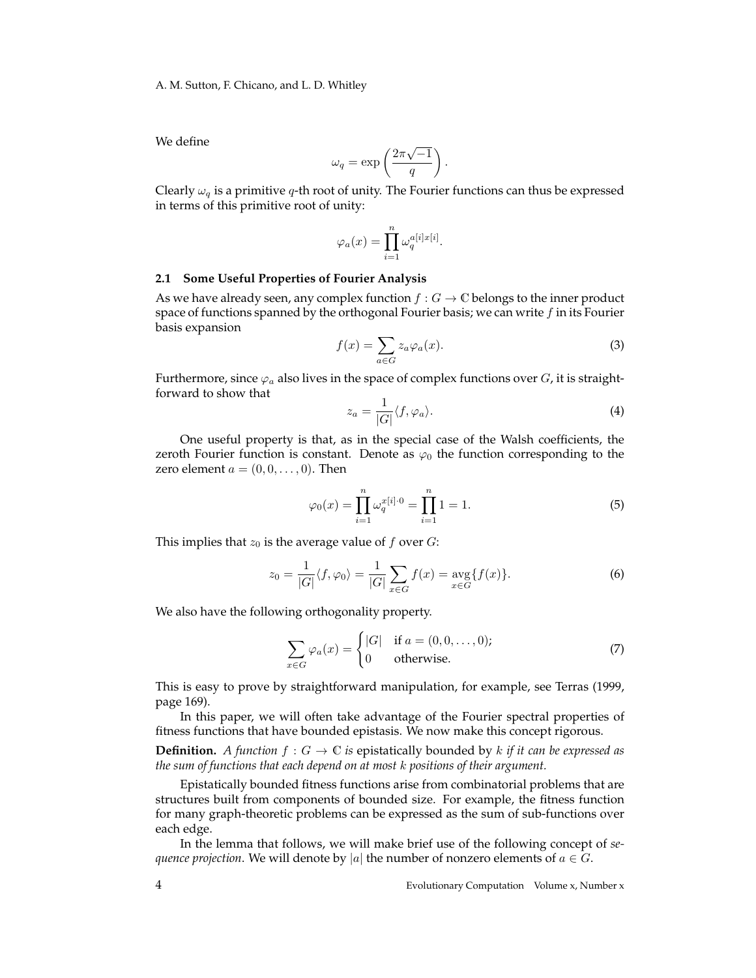We define

$$
\omega_q = \exp\left(\frac{2\pi\sqrt{-1}}{q}\right).
$$

Clearly  $\omega_q$  is a primitive q-th root of unity. The Fourier functions can thus be expressed in terms of this primitive root of unity:

$$
\varphi_a(x) = \prod_{i=1}^n \omega_q^{a[i]x[i]}.
$$

#### **2.1 Some Useful Properties of Fourier Analysis**

As we have already seen, any complex function  $f : G \to \mathbb{C}$  belongs to the inner product space of functions spanned by the orthogonal Fourier basis; we can write  $f$  in its Fourier basis expansion

$$
f(x) = \sum_{a \in G} z_a \varphi_a(x). \tag{3}
$$

Furthermore, since  $\varphi_a$  also lives in the space of complex functions over G, it is straightforward to show that

$$
z_a = \frac{1}{|G|} \langle f, \varphi_a \rangle.
$$
 (4)

One useful property is that, as in the special case of the Walsh coefficients, the zeroth Fourier function is constant. Denote as  $\varphi_0$  the function corresponding to the zero element  $a = (0, 0, \ldots, 0)$ . Then

$$
\varphi_0(x) = \prod_{i=1}^n \omega_q^{x[i]\cdot 0} = \prod_{i=1}^n 1 = 1.
$$
 (5)

This implies that  $z_0$  is the average value of f over  $G$ :

$$
z_0 = \frac{1}{|G|} \langle f, \varphi_0 \rangle = \frac{1}{|G|} \sum_{x \in G} f(x) = \underset{x \in G}{\text{avg}} \{ f(x) \}. \tag{6}
$$

We also have the following orthogonality property.

$$
\sum_{x \in G} \varphi_a(x) = \begin{cases} |G| & \text{if } a = (0, 0, \dots, 0); \\ 0 & \text{otherwise.} \end{cases}
$$
 (7)

This is easy to prove by straightforward manipulation, for example, see Terras (1999, page 169).

In this paper, we will often take advantage of the Fourier spectral properties of fitness functions that have bounded epistasis. We now make this concept rigorous.

**Definition.** *A function*  $f : G \to \mathbb{C}$  *is* epistatically bounded by k *if it can be expressed as the sum of functions that each depend on at most* k *positions of their argument.*

Epistatically bounded fitness functions arise from combinatorial problems that are structures built from components of bounded size. For example, the fitness function for many graph-theoretic problems can be expressed as the sum of sub-functions over each edge.

In the lemma that follows, we will make brief use of the following concept of *sequence projection*. We will denote by |a| the number of nonzero elements of  $a \in G$ .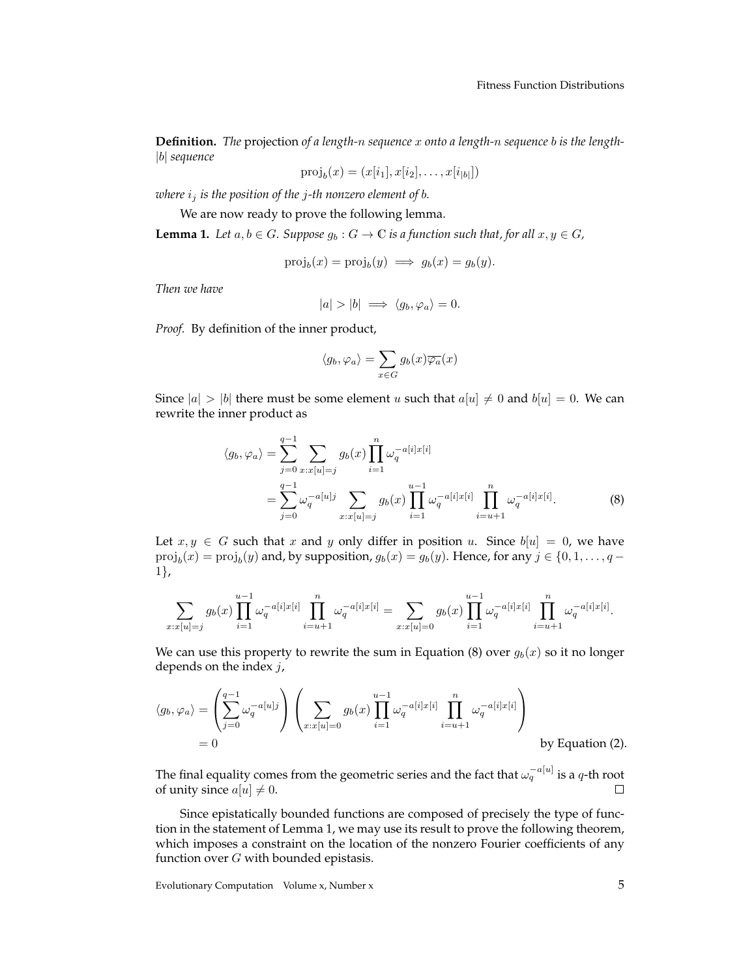**Definition.** *The* projection *of a length-*n *sequence* x *onto a length-*n *sequence* b *is the length-* |b| *sequence*

$$
\text{proj}_b(x) = (x[i_1], x[i_2], \dots, x[i_{|b|}])
$$

*where*  $i_j$  *is the position of the j-th nonzero element of b.* 

We are now ready to prove the following lemma.

**Lemma 1.** *Let*  $a, b \in G$ *. Suppose*  $g_b : G \to \mathbb{C}$  *is a function such that, for all*  $x, y \in G$ *,* 

$$
\text{proj}_b(x) = \text{proj}_b(y) \implies g_b(x) = g_b(y).
$$

*Then we have*

$$
|a|>|b| \implies \langle g_b, \varphi_a \rangle = 0.
$$

*Proof.* By definition of the inner product,

$$
\langle g_b, \varphi_a \rangle = \sum_{x \in G} g_b(x) \overline{\varphi_a}(x)
$$

Since  $|a| > |b|$  there must be some element u such that  $a[u] \neq 0$  and  $b[u] = 0$ . We can rewrite the inner product as

$$
\langle g_b, \varphi_a \rangle = \sum_{j=0}^{q-1} \sum_{x:x[u]=j} g_b(x) \prod_{i=1}^n \omega_q^{-a[i]x[i]}
$$
  
= 
$$
\sum_{j=0}^{q-1} \omega_q^{-a[u]j} \sum_{x:x[u]=j} g_b(x) \prod_{i=1}^{u-1} \omega_q^{-a[i]x[i]} \prod_{i=u+1}^n \omega_q^{-a[i]x[i]}.
$$
 (8)

Let  $x, y \in G$  such that x and y only differ in position u. Since  $b[u] = 0$ , we have  $\text{proj}_b(x) = \text{proj}_b(y)$  and, by supposition,  $g_b(x) = g_b(y)$ . Hence, for any  $j \in \{0, 1, ..., q - 1\}$ 1},

$$
\sum_{x:x[u]=j} g_b(x) \prod_{i=1}^{u-1} \omega_q^{-a[i]x[i]} \prod_{i=u+1}^n \omega_q^{-a[i]x[i]} = \sum_{x:x[u]=0} g_b(x) \prod_{i=1}^{u-1} \omega_q^{-a[i]x[i]} \prod_{i=u+1}^n \omega_q^{-a[i]x[i]}.
$$

We can use this property to rewrite the sum in Equation (8) over  $g_b(x)$  so it no longer depends on the index  $j$ ,

$$
\langle g_b, \varphi_a \rangle = \left( \sum_{j=0}^{q-1} \omega_q^{-a[u]j} \right) \left( \sum_{x:x[u]=0} g_b(x) \prod_{i=1}^{u-1} \omega_q^{-a[i]x[i]} \prod_{i=u+1}^n \omega_q^{-a[i]x[i]} \right)
$$
  
= 0 by Equation (2).

The final equality comes from the geometric series and the fact that  $\omega_q^{-a[u]}$  is a  $q$ -th root of unity since  $a[u] \neq 0$ . П

Since epistatically bounded functions are composed of precisely the type of function in the statement of Lemma 1, we may use its result to prove the following theorem, which imposes a constraint on the location of the nonzero Fourier coefficients of any function over  $G$  with bounded epistasis.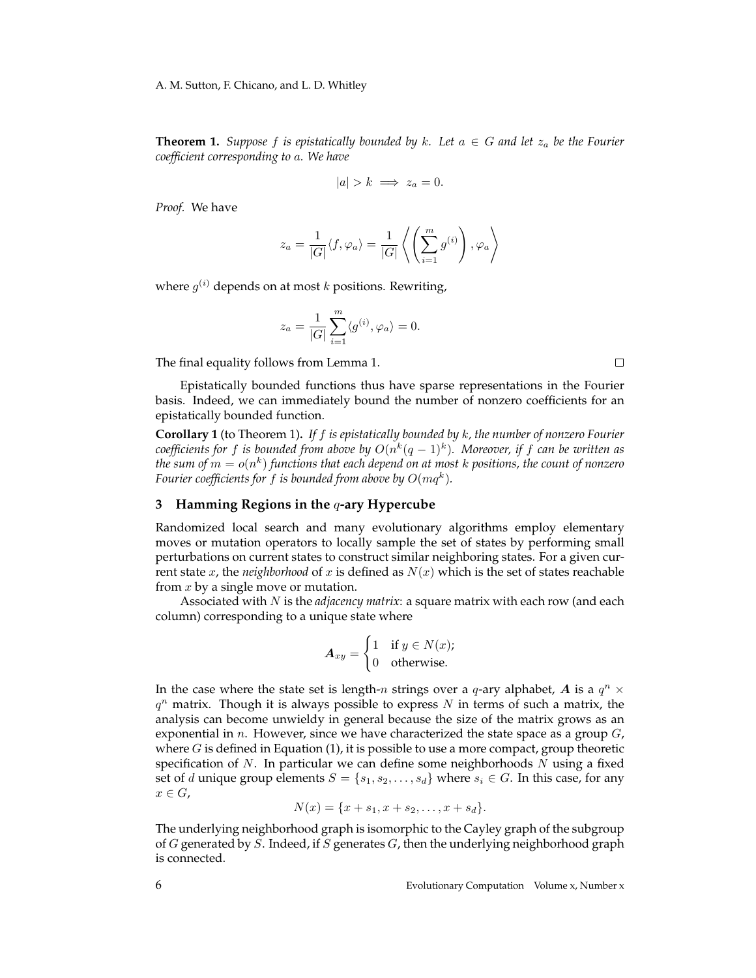**Theorem 1.** *Suppose* f *is epistatically bounded by* k. Let  $a \in G$  *and let*  $z_a$  *be the Fourier coefficient corresponding to* a*. We have*

$$
|a| > k \implies z_a = 0.
$$

*Proof.* We have

$$
z_a = \frac{1}{|G|} \langle f, \varphi_a \rangle = \frac{1}{|G|} \left\langle \left( \sum_{i=1}^m g^{(i)} \right), \varphi_a \right\rangle
$$

where  $g^{(i)}$  depends on at most  $k$  positions. Rewriting,

$$
z_a = \frac{1}{|G|} \sum_{i=1}^m \langle g^{(i)}, \varphi_a \rangle = 0.
$$

The final equality follows from Lemma 1.

Epistatically bounded functions thus have sparse representations in the Fourier basis. Indeed, we can immediately bound the number of nonzero coefficients for an epistatically bounded function.

**Corollary 1** (to Theorem 1)**.** *If* f *is epistatically bounded by* k*, the number of nonzero Fourier*  ${\it coefficients}$  for  $f$  is bounded from above by  $O(n^k(q-1)^k)$ . Moreover, if  $f$  can be written as the sum of  $m=o(n^k)$  functions that each depend on at most  $k$  positions, the count of nonzero Fourier coefficients for  $f$  is bounded from above by  $O(mq^k).$ 

#### **3 Hamming Regions in the** q**-ary Hypercube**

Randomized local search and many evolutionary algorithms employ elementary moves or mutation operators to locally sample the set of states by performing small perturbations on current states to construct similar neighboring states. For a given current state x, the *neighborhood* of x is defined as  $N(x)$  which is the set of states reachable from  $x$  by a single move or mutation.

Associated with N is the *adjacency matrix*: a square matrix with each row (and each column) corresponding to a unique state where

$$
A_{xy} = \begin{cases} 1 & \text{if } y \in N(x); \\ 0 & \text{otherwise.} \end{cases}
$$

In the case where the state set is length-n strings over a q-ary alphabet, A is a  $q^n$  ×  $q^n$  matrix. Though it is always possible to express N in terms of such a matrix, the analysis can become unwieldy in general because the size of the matrix grows as an exponential in  $n$ . However, since we have characterized the state space as a group  $G$ , where  $G$  is defined in Equation  $(1)$ , it is possible to use a more compact, group theoretic specification of  $N$ . In particular we can define some neighborhoods  $N$  using a fixed set of d unique group elements  $S = \{s_1, s_2, \ldots, s_d\}$  where  $s_i \in G$ . In this case, for any  $x \in G$ ,

$$
N(x) = \{x + s_1, x + s_2, \dots, x + s_d\}.
$$

The underlying neighborhood graph is isomorphic to the Cayley graph of the subgroup of G generated by S. Indeed, if S generates G, then the underlying neighborhood graph is connected.

 $\Box$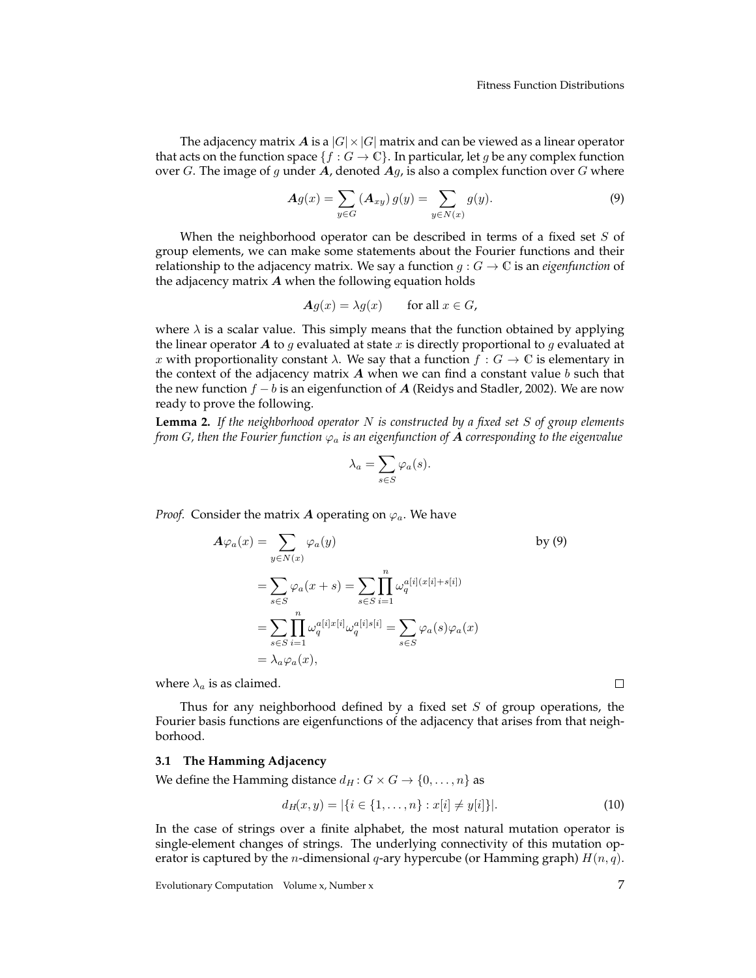The adjacency matrix A is a  $|G| \times |G|$  matrix and can be viewed as a linear operator that acts on the function space  $\{f : G \to \mathbb{C}\}$ . In particular, let g be any complex function over G. The image of g under A, denoted  $Ag$ , is also a complex function over G where

$$
Ag(x) = \sum_{y \in G} (A_{xy}) g(y) = \sum_{y \in N(x)} g(y).
$$
 (9)

When the neighborhood operator can be described in terms of a fixed set  $S$  of group elements, we can make some statements about the Fourier functions and their relationship to the adjacency matrix. We say a function  $g: G \to \mathbb{C}$  is an *eigenfunction* of the adjacency matrix  $A$  when the following equation holds

$$
\mathbf{A}g(x) = \lambda g(x) \qquad \text{for all } x \in G,
$$

where  $\lambda$  is a scalar value. This simply means that the function obtained by applying the linear operator A to g evaluated at state x is directly proportional to g evaluated at x with proportionality constant  $\lambda$ . We say that a function  $f : G \to \mathbb{C}$  is elementary in the context of the adjacency matrix  $\boldsymbol{A}$  when we can find a constant value  $\boldsymbol{b}$  such that the new function  $f - b$  is an eigenfunction of A (Reidys and Stadler, 2002). We are now ready to prove the following.

**Lemma 2.** *If the neighborhood operator* N *is constructed by a fixed set* S *of group elements from* G, then the Fourier function  $\varphi_a$  is an eigenfunction of **A** corresponding to the eigenvalue

$$
\lambda_a = \sum_{s \in S} \varphi_a(s).
$$

*Proof.* Consider the matrix A operating on  $\varphi_a$ . We have

$$
A\varphi_a(x) = \sum_{y \in N(x)} \varphi_a(y)
$$
by (9)  

$$
= \sum_{s \in S} \varphi_a(x+s) = \sum_{s \in S} \prod_{i=1}^n \omega_q^{a[i](x[i]+s[i])}
$$
  

$$
= \sum_{s \in S} \prod_{i=1}^n \omega_q^{a[i]x[i]} \omega_q^{a[i]s[i]} = \sum_{s \in S} \varphi_a(s)\varphi_a(x)
$$
  

$$
= \lambda_a \varphi_a(x),
$$

where  $\lambda_a$  is as claimed.

Thus for any neighborhood defined by a fixed set  $S$  of group operations, the Fourier basis functions are eigenfunctions of the adjacency that arises from that neighborhood.

#### **3.1 The Hamming Adjacency**

We define the Hamming distance  $d_H : G \times G \rightarrow \{0, \ldots, n\}$  as

$$
d_H(x, y) = |\{i \in \{1, \dots, n\} : x[i] \neq y[i]\}|. \tag{10}
$$

In the case of strings over a finite alphabet, the most natural mutation operator is single-element changes of strings. The underlying connectivity of this mutation operator is captured by the *n*-dimensional *q*-ary hypercube (or Hamming graph)  $H(n, q)$ .

 $\Box$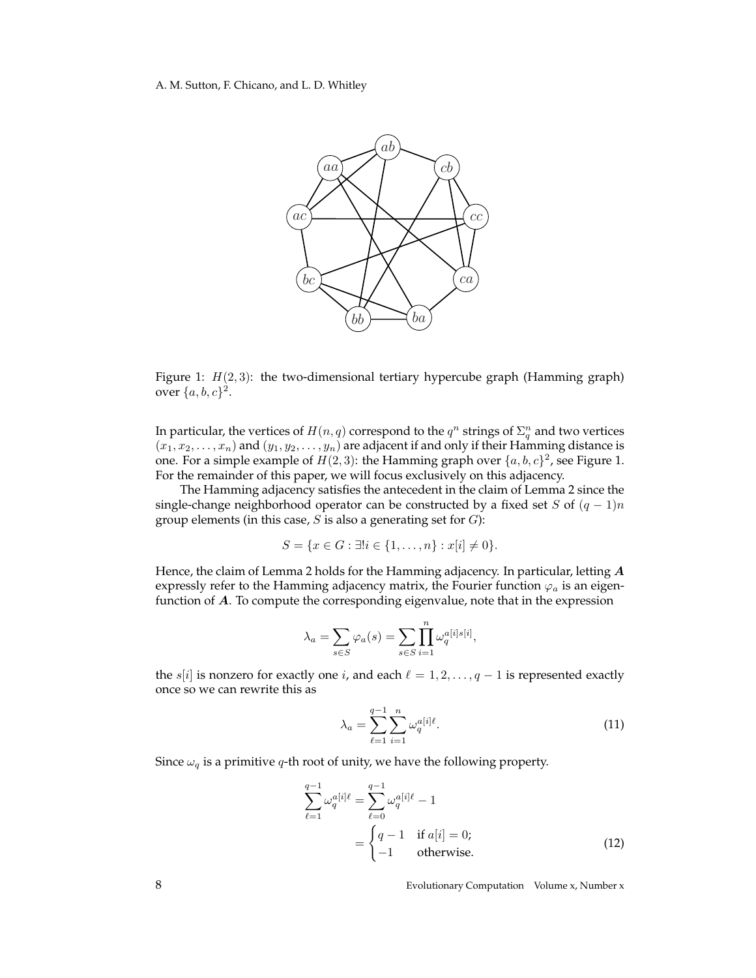

Figure 1:  $H(2,3)$ : the two-dimensional tertiary hypercube graph (Hamming graph) over  $\{a, b, c\}^2$ .

In particular, the vertices of  $H(n,q)$  correspond to the  $q^n$  strings of  $\Sigma_q^n$  and two vertices  $(x_1, x_2, \ldots, x_n)$  and  $(y_1, y_2, \ldots, y_n)$  are adjacent if and only if their Hamming distance is one. For a simple example of  $H(2,3)$ : the Hamming graph over  $\{a, b, c\}^2$ , see Figure 1. For the remainder of this paper, we will focus exclusively on this adjacency.

The Hamming adjacency satisfies the antecedent in the claim of Lemma 2 since the single-change neighborhood operator can be constructed by a fixed set S of  $(q - 1)n$ group elements (in this case,  $S$  is also a generating set for  $G$ ):

$$
S = \{x \in G : \exists! i \in \{1, \ldots, n\} : x[i] \neq 0\}.
$$

Hence, the claim of Lemma 2 holds for the Hamming adjacency. In particular, letting A expressly refer to the Hamming adjacency matrix, the Fourier function  $\varphi_a$  is an eigenfunction of A. To compute the corresponding eigenvalue, note that in the expression

$$
\lambda_a = \sum_{s \in S} \varphi_a(s) = \sum_{s \in S} \prod_{i=1}^n \omega_q^{a[i] s[i]},
$$

the s[i] is nonzero for exactly one i, and each  $\ell = 1, 2, \ldots, q - 1$  is represented exactly once so we can rewrite this as

$$
\lambda_a = \sum_{\ell=1}^{q-1} \sum_{i=1}^n \omega_q^{a[i]\ell}.
$$
\n(11)

Since  $\omega_q$  is a primitive q-th root of unity, we have the following property.

$$
\sum_{\ell=1}^{q-1} \omega_q^{a[i]\ell} = \sum_{\ell=0}^{q-1} \omega_q^{a[i]\ell} - 1
$$
  
= 
$$
\begin{cases} q-1 & \text{if } a[i] = 0; \\ -1 & \text{otherwise.} \end{cases}
$$
 (12)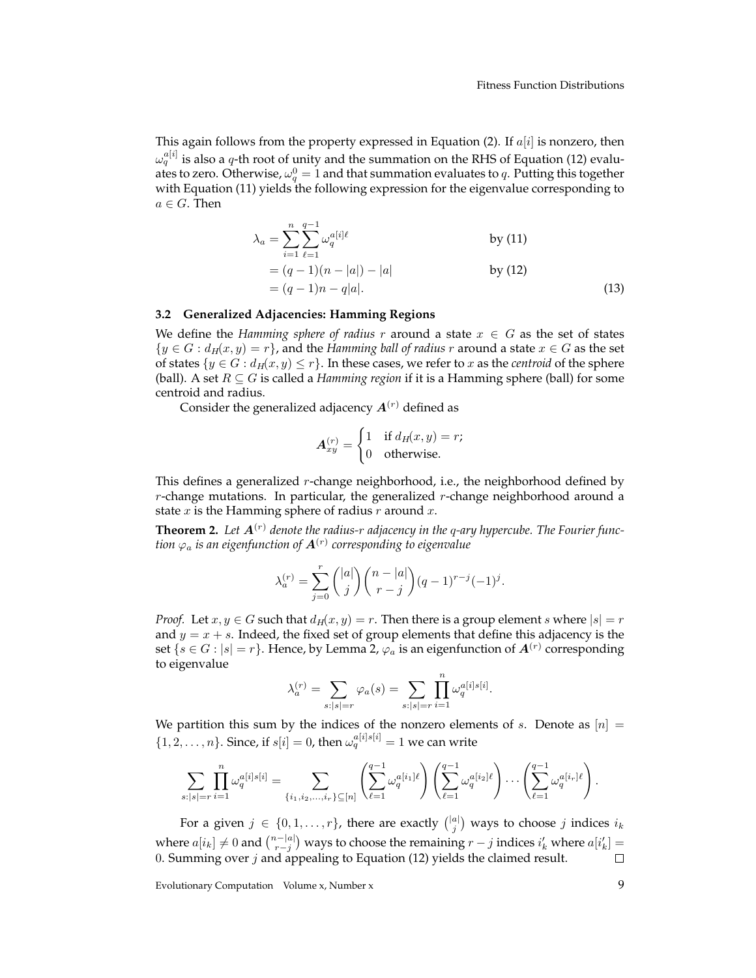This again follows from the property expressed in Equation (2). If  $a[i]$  is nonzero, then  $\omega_q^{a[i]}$  is also a  $q$ -th root of unity and the summation on the RHS of Equation (12) evaluates to zero. Otherwise,  $\omega_q^0 = 1$  and that summation evaluates to  $q$ . Putting this together with Equation (11) yields the following expression for the eigenvalue corresponding to  $a\in G.$  Then

$$
\lambda_a = \sum_{i=1}^n \sum_{\ell=1}^{q-1} \omega_q^{a[i]\ell} \qquad \text{by (11)}
$$
  
=  $(q-1)(n-|a|) - |a|$  by (12)  
=  $(q-1)n - q|a|$ . (13)

#### **3.2 Generalized Adjacencies: Hamming Regions**

We define the *Hamming sphere of radius* r around a state  $x \in G$  as the set of states  $\{y \in G : d_H(x, y) = r\}$ , and the *Hamming ball of radius* r around a state  $x \in G$  as the set of states  $\{y \in G : d_H(x, y) \leq r\}$ . In these cases, we refer to x as the *centroid* of the sphere (ball). A set  $R \subseteq G$  is called a *Hamming region* if it is a Hamming sphere (ball) for some centroid and radius.

Consider the generalized adjacency  $A^{(r)}$  defined as

$$
\mathbf{A}_{xy}^{(r)} = \begin{cases} 1 & \text{if } d_H(x, y) = r; \\ 0 & \text{otherwise.} \end{cases}
$$

This defines a generalized  $r$ -change neighborhood, i.e., the neighborhood defined by  $r$ -change mutations. In particular, the generalized  $r$ -change neighborhood around a state x is the Hamming sphere of radius  $r$  around  $x$ .

**Theorem 2.** Let  $A^{(r)}$  denote the radius-r adjacency in the q-ary hypercube. The Fourier function  $\varphi_a$  is an eigenfunction of  $\boldsymbol{A}^{(r)}$  corresponding to eigenvalue

$$
\lambda_a^{(r)} = \sum_{j=0}^r \binom{|a|}{j} \binom{n-|a|}{r-j} (q-1)^{r-j} (-1)^j.
$$

*Proof.* Let  $x, y \in G$  such that  $d_H(x, y) = r$ . Then there is a group element s where  $|s| = r$ and  $y = x + s$ . Indeed, the fixed set of group elements that define this adjacency is the set  $\{s \in G : |s| = r\}$ . Hence, by Lemma 2,  $\varphi_a$  is an eigenfunction of  $\boldsymbol{A}^{(r)}$  corresponding to eigenvalue

$$
\lambda_a^{(r)} = \sum_{s:|s|=r} \varphi_a(s) = \sum_{s:|s|=r} \prod_{i=1}^n \omega_q^{a[i]s[i]}.
$$

We partition this sum by the indices of the nonzero elements of s. Denote as  $[n] =$  $\{1, 2, \ldots, n\}$ . Since, if  $s[i] = 0$ , then  $\omega_q^{a[i] s[i]} = 1$  we can write

$$
\sum_{s:|s|=r} \prod_{i=1}^n \omega_q^{a[i]s[i]} = \sum_{\{i_1,i_2,\ldots,i_r\} \subseteq [n]} \left( \sum_{\ell=1}^{q-1} \omega_q^{a[i_1]\ell} \right) \left( \sum_{\ell=1}^{q-1} \omega_q^{a[i_2]\ell} \right) \cdots \left( \sum_{\ell=1}^{q-1} \omega_q^{a[i_r]\ell} \right).
$$

For a given  $j \in \{0, 1, \ldots, r\}$ , there are exactly  $\binom{|a|}{j}$  ways to choose  $j$  indices  $i_k$ where  $a[i_k] \neq 0$  and  $\binom{n-|a|}{r-j}$  ways to choose the remaining  $r-j$  indices  $i'_k$  where  $a[i'_k] =$ 0. Summing over  $j$  and appealing to Equation (12) yields the claimed result.  $\Box$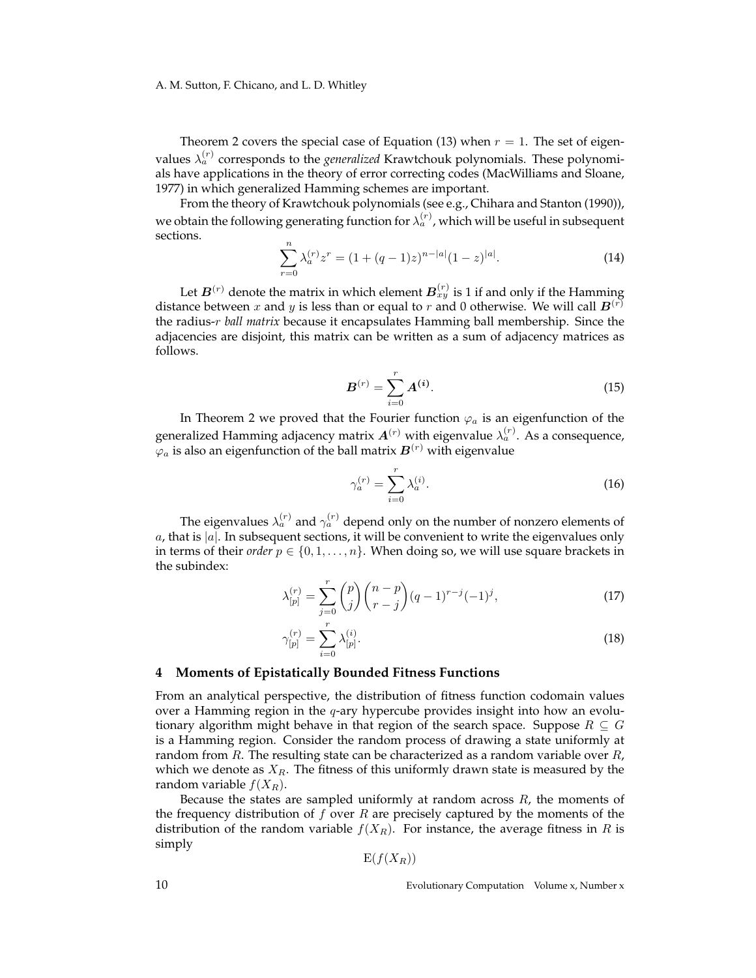Theorem 2 covers the special case of Equation (13) when  $r = 1$ . The set of eigenvalues  $\lambda_a^{(r)}$  corresponds to the *generalized* Krawtchouk polynomials. These polynomials have applications in the theory of error correcting codes (MacWilliams and Sloane, 1977) in which generalized Hamming schemes are important.

From the theory of Krawtchouk polynomials (see e.g., Chihara and Stanton (1990)), we obtain the following generating function for  $\lambda_a^{(r)}$  , which will be useful in subsequent sections.

$$
\sum_{r=0}^{n} \lambda_a^{(r)} z^r = (1 + (q-1)z)^{n-|a|} (1-z)^{|a|}.
$$
 (14)

Let  $\bm{B}^{(r)}$  denote the matrix in which element  $\bm{B}^{(r)}_{xy}$  is 1 if and only if the Hamming distance between x and y is less than or equal to r and 0 otherwise. We will call  $B^{(r)}$ the radius-r *ball matrix* because it encapsulates Hamming ball membership. Since the adjacencies are disjoint, this matrix can be written as a sum of adjacency matrices as follows.

$$
B^{(r)} = \sum_{i=0}^{r} A^{(i)}.
$$
 (15)

In Theorem 2 we proved that the Fourier function  $\varphi_a$  is an eigenfunction of the generalized Hamming adjacency matrix  $\bm{A}^{(r)}$  with eigenvalue  $\lambda_a^{(r)}.$  As a consequence,  $\varphi_a$  is also an eigenfunction of the ball matrix  $\bm{B}^{(r)}$  with eigenvalue

$$
\gamma_a^{(r)} = \sum_{i=0}^r \lambda_a^{(i)}.\tag{16}
$$

The eigenvalues  $\lambda_{a}^{(r)}$  and  $\gamma_{a}^{(r)}$  depend only on the number of nonzero elements of a, that is  $|a|$ . In subsequent sections, it will be convenient to write the eigenvalues only in terms of their *order*  $p \in \{0, 1, \ldots, n\}$ . When doing so, we will use square brackets in the subindex:

$$
\lambda_{[p]}^{(r)} = \sum_{j=0}^{r} \binom{p}{j} \binom{n-p}{r-j} (q-1)^{r-j} (-1)^j, \tag{17}
$$

$$
\gamma_{[p]}^{(r)} = \sum_{i=0}^{r} \lambda_{[p]}^{(i)}.
$$
\n(18)

#### **4 Moments of Epistatically Bounded Fitness Functions**

From an analytical perspective, the distribution of fitness function codomain values over a Hamming region in the q-ary hypercube provides insight into how an evolutionary algorithm might behave in that region of the search space. Suppose  $R \subseteq G$ is a Hamming region. Consider the random process of drawing a state uniformly at random from R. The resulting state can be characterized as a random variable over  $R$ , which we denote as  $X_R$ . The fitness of this uniformly drawn state is measured by the random variable  $f(X_R)$ .

Because the states are sampled uniformly at random across  $R$ , the moments of the frequency distribution of  $f$  over  $R$  are precisely captured by the moments of the distribution of the random variable  $f(X_R)$ . For instance, the average fitness in R is simply

$$
E(f(X_R))
$$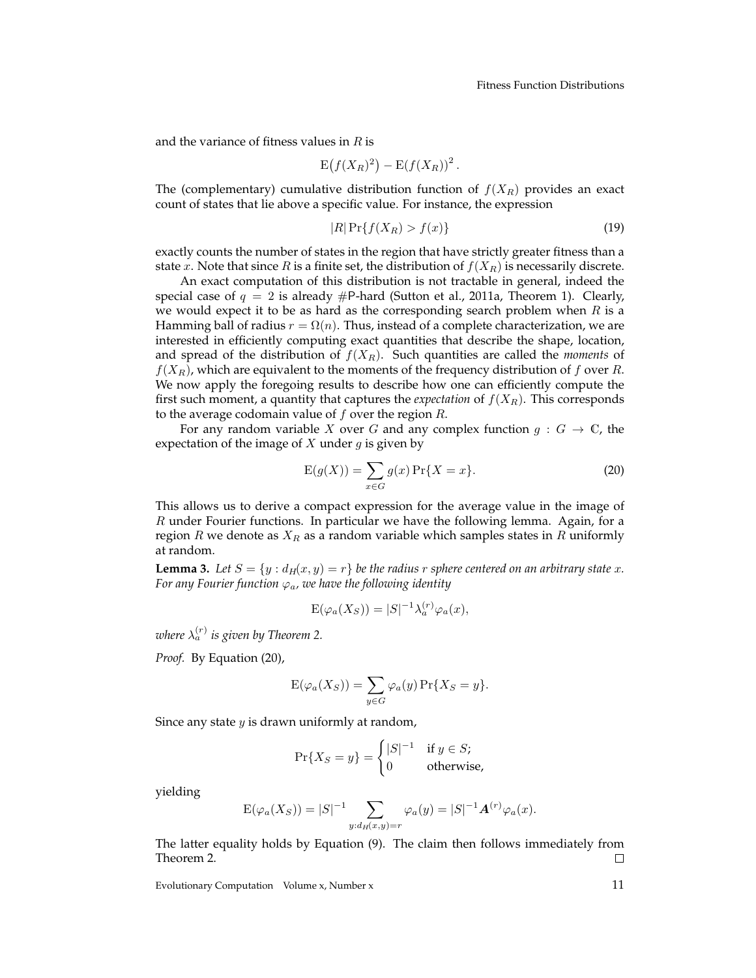and the variance of fitness values in  $R$  is

$$
\mathrm{E}\big(f(X_R)^2\big)-\mathrm{E}(f(X_R))^2\,.
$$

The (complementary) cumulative distribution function of  $f(X_R)$  provides an exact count of states that lie above a specific value. For instance, the expression

$$
|R|\Pr\{f(X_R) > f(x)\}\tag{19}
$$

exactly counts the number of states in the region that have strictly greater fitness than a state x. Note that since R is a finite set, the distribution of  $f(X_R)$  is necessarily discrete.

An exact computation of this distribution is not tractable in general, indeed the special case of  $q = 2$  is already  $\#P$ -hard (Sutton et al., 2011a, Theorem 1). Clearly, we would expect it to be as hard as the corresponding search problem when  $R$  is a Hamming ball of radius  $r = \Omega(n)$ . Thus, instead of a complete characterization, we are interested in efficiently computing exact quantities that describe the shape, location, and spread of the distribution of  $f(X_R)$ . Such quantities are called the *moments* of  $f(X_R)$ , which are equivalent to the moments of the frequency distribution of f over R. We now apply the foregoing results to describe how one can efficiently compute the first such moment, a quantity that captures the *expectation* of  $f(X_R)$ . This corresponds to the average codomain value of  $f$  over the region  $R$ .

For any random variable X over G and any complex function  $g: G \to \mathbb{C}$ , the expectation of the image of X under  $q$  is given by

$$
E(g(X)) = \sum_{x \in G} g(x) Pr{X = x}.
$$
 (20)

This allows us to derive a compact expression for the average value in the image of  $R$  under Fourier functions. In particular we have the following lemma. Again, for a region R we denote as  $X_R$  as a random variable which samples states in R uniformly at random.

**Lemma 3.** Let  $S = \{y : d_H(x, y) = r\}$  be the radius r sphere centered on an arbitrary state x. *For any Fourier function*  $\varphi_a$ *, we have the following identity* 

$$
E(\varphi_a(X_S)) = |S|^{-1} \lambda_a^{(r)} \varphi_a(x),
$$

where  $\lambda_a^{(r)}$  is given by Theorem 2.

*Proof.* By Equation (20),

$$
E(\varphi_a(X_S)) = \sum_{y \in G} \varphi_a(y) \Pr\{X_S = y\}.
$$

Since any state  $y$  is drawn uniformly at random,

$$
\Pr\{X_S = y\} = \begin{cases} |S|^{-1} & \text{if } y \in S; \\ 0 & \text{otherwise,} \end{cases}
$$

yielding

$$
E(\varphi_a(X_S)) = |S|^{-1} \sum_{y:d_H(x,y)=r} \varphi_a(y) = |S|^{-1} \mathbf{A}^{(r)} \varphi_a(x).
$$

The latter equality holds by Equation (9). The claim then follows immediately from Theorem 2. □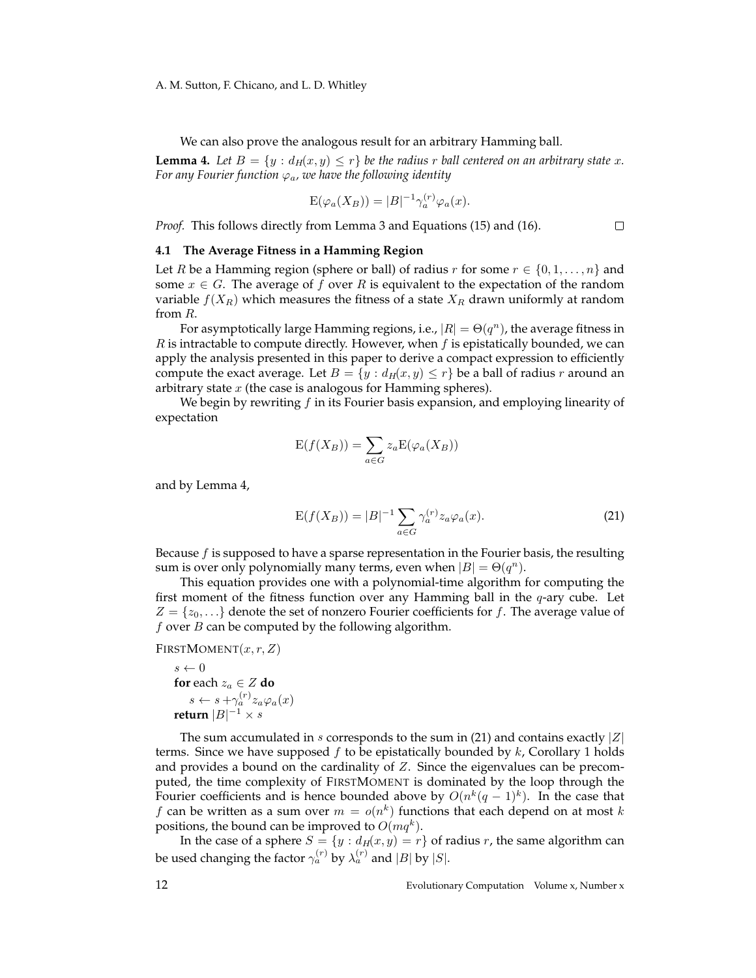We can also prove the analogous result for an arbitrary Hamming ball.

**Lemma 4.** Let  $B = \{y : d_H(x, y) \leq r\}$  be the radius r ball centered on an arbitrary state x. *For any Fourier function*  $\varphi_a$ *, we have the following identity* 

$$
E(\varphi_a(X_B)) = |B|^{-1} \gamma_a^{(r)} \varphi_a(x).
$$

*Proof.* This follows directly from Lemma 3 and Equations (15) and (16).

 $\Box$ 

#### **4.1 The Average Fitness in a Hamming Region**

Let R be a Hamming region (sphere or ball) of radius r for some  $r \in \{0, 1, \ldots, n\}$  and some  $x \in G$ . The average of f over R is equivalent to the expectation of the random variable  $f(X_R)$  which measures the fitness of a state  $X_R$  drawn uniformly at random from R.

For asymptotically large Hamming regions, i.e.,  $|R| = \Theta(q^n)$ , the average fitness in  $R$  is intractable to compute directly. However, when  $f$  is epistatically bounded, we can apply the analysis presented in this paper to derive a compact expression to efficiently compute the exact average. Let  $B = \{y : d_H(x, y) \le r\}$  be a ball of radius r around an arbitrary state  $x$  (the case is analogous for Hamming spheres).

We begin by rewriting  $f$  in its Fourier basis expansion, and employing linearity of expectation

$$
E(f(X_B)) = \sum_{a \in G} z_a E(\varphi_a(X_B))
$$

and by Lemma 4,

$$
E(f(X_B)) = |B|^{-1} \sum_{a \in G} \gamma_a^{(r)} z_a \varphi_a(x).
$$
 (21)

Because  $f$  is supposed to have a sparse representation in the Fourier basis, the resulting sum is over only polynomially many terms, even when  $|B| = \Theta(q^n)$ .

This equation provides one with a polynomial-time algorithm for computing the first moment of the fitness function over any Hamming ball in the  $q$ -ary cube. Let  $Z = \{z_0, \ldots\}$  denote the set of nonzero Fourier coefficients for f. The average value of  $f$  over  $B$  can be computed by the following algorithm.

FIRSTMOMENT $(x, r, Z)$ 

$$
s \leftarrow 0
$$
  
for each  $z_a \in Z$  do  

$$
s \leftarrow s + \gamma_a^{(r)} z_a \varphi_a(x)
$$
  
return  $|B|^{-1} \times s$ 

The sum accumulated in s corresponds to the sum in (21) and contains exactly  $|Z|$ terms. Since we have supposed  $f$  to be epistatically bounded by  $k$ , Corollary 1 holds and provides a bound on the cardinality of  $Z$ . Since the eigenvalues can be precomputed, the time complexity of FIRSTMOMENT is dominated by the loop through the Fourier coefficients and is hence bounded above by  $O(n^k(q-1)^k)$ . In the case that f can be written as a sum over  $m = o(n^k)$  functions that each depend on at most k positions, the bound can be improved to  $O(mq^k)$ .

In the case of a sphere  $S = \{y : d_H(x, y) = r\}$  of radius r, the same algorithm can be used changing the factor  $\gamma_a^{(r)}$  by  $\lambda_a^{(r)}$  and  $|B|$  by  $|S|$ .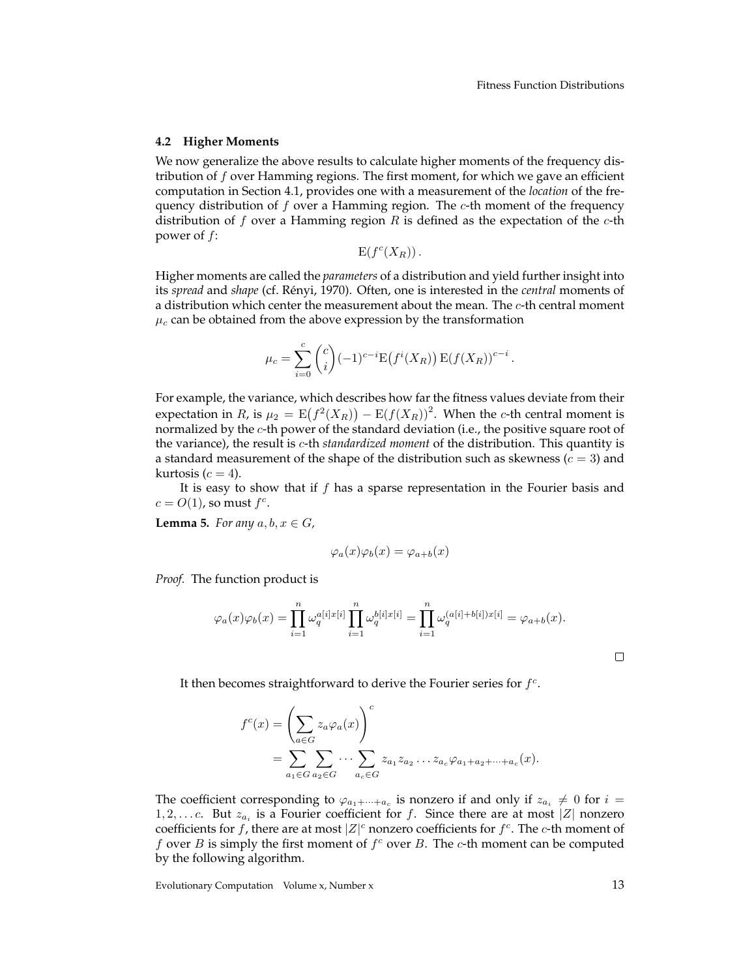#### **4.2 Higher Moments**

We now generalize the above results to calculate higher moments of the frequency distribution of  $f$  over Hamming regions. The first moment, for which we gave an efficient computation in Section 4.1, provides one with a measurement of the *location* of the frequency distribution of  $f$  over a Hamming region. The  $c$ -th moment of the frequency distribution of f over a Hamming region R is defined as the expectation of the  $c$ -th power of f:

 $E(f^c(X_R))$ .

Higher moments are called the *parameters* of a distribution and yield further insight into its *spread* and *shape* (cf. Rényi, 1970). Often, one is interested in the *central* moments of a distribution which center the measurement about the mean. The  $c$ -th central moment  $\mu_c$  can be obtained from the above expression by the transformation

$$
\mu_c = \sum_{i=0}^c \binom{c}{i} (-1)^{c-i} \mathcal{E}(f^i(X_R)) \mathcal{E}(f(X_R))^{c-i}.
$$

For example, the variance, which describes how far the fitness values deviate from their expectation in R, is  $\mu_2 = \mathbb{E}(f^2(X_R)) - \mathbb{E}(f(X_R))^2$ . When the c-th central moment is normalized by the c-th power of the standard deviation (i.e., the positive square root of the variance), the result is c-th *standardized moment* of the distribution. This quantity is a standard measurement of the shape of the distribution such as skewness  $(c = 3)$  and kurtosis  $(c = 4)$ .

It is easy to show that if  $f$  has a sparse representation in the Fourier basis and  $c = O(1)$ , so must  $f^c$ .

**Lemma 5.** *For any*  $a, b, x \in G$ ,

$$
\varphi_a(x)\varphi_b(x) = \varphi_{a+b}(x)
$$

*Proof.* The function product is

$$
\varphi_a(x)\varphi_b(x) = \prod_{i=1}^n \omega_q^{a[i]x[i]} \prod_{i=1}^n \omega_q^{b[i]x[i]} = \prod_{i=1}^n \omega_q^{(a[i]+b[i])x[i]} = \varphi_{a+b}(x).
$$

It then becomes straightforward to derive the Fourier series for  $f<sup>c</sup>$ .

$$
f^c(x) = \left(\sum_{a \in G} z_a \varphi_a(x)\right)^c
$$
  
= 
$$
\sum_{a_1 \in G} \sum_{a_2 \in G} \cdots \sum_{a_c \in G} z_{a_1} z_{a_2} \cdots z_{a_c} \varphi_{a_1 + a_2 + \cdots + a_c}(x).
$$

The coefficient corresponding to  $\varphi_{a_1+\cdots+a_c}$  is nonzero if and only if  $z_{a_i} \neq 0$  for  $i =$ 1, 2, ... c. But  $z_{a_i}$  is a Fourier coefficient for f. Since there are at most |Z| nonzero coefficients for f, there are at most  $|Z|^c$  nonzero coefficients for  $f^c$ . The c-th moment of f over  $B$  is simply the first moment of  $f^c$  over  $B$ . The  $c$ -th moment can be computed by the following algorithm.

Evolutionary Computation Volume x, Number x 13

 $\Box$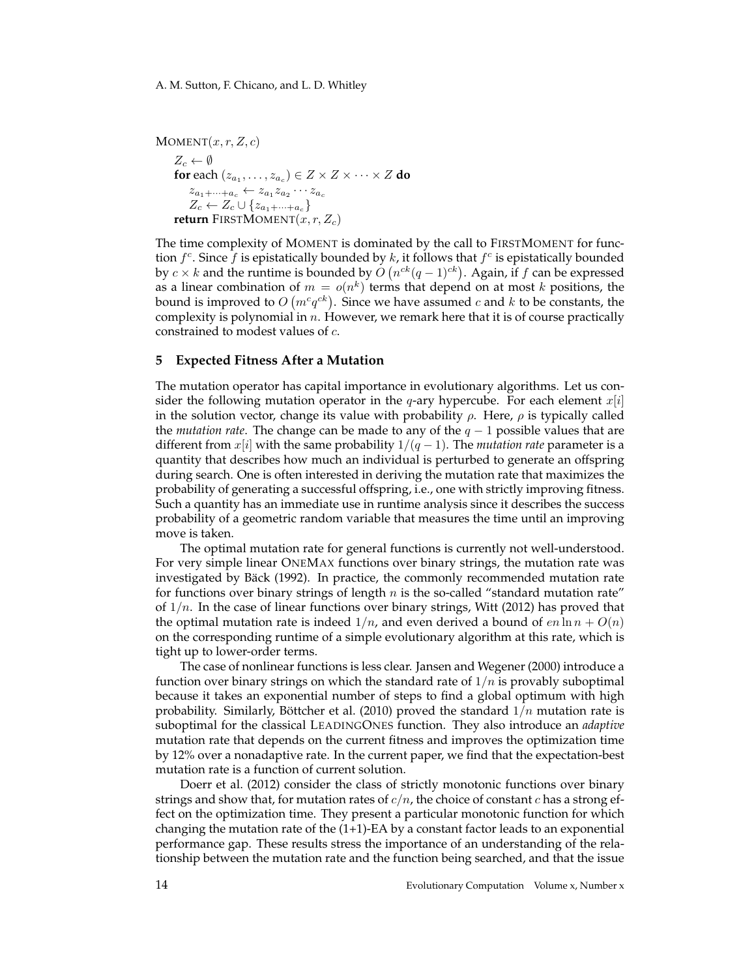A. M. Sutton, F. Chicano, and L. D. Whitley

 $MOMENT(x, r, Z, c)$  $Z_c \leftarrow \emptyset$ **for** each  $(z_{a_1}, \ldots, z_{a_c}) \in Z \times Z \times \cdots \times Z$  **do**  $z_{a_1+\cdots+a_c} \leftarrow z_{a_1} z_{a_2} \cdots z_{a_c}$  $Z_c \leftarrow Z_c \cup \{z_{a_1+\cdots+a_c}\}$ **return** FIRSTMOMENT $(x, r, Z_c)$ 

The time complexity of MOMENT is dominated by the call to FIRSTMOMENT for function  $f^c$ . Since  $\tilde{f}$  is epistatically bounded by  $k$ , it follows that  $f^c$  is epistatically bounded by  $c \times k$  and the runtime is bounded by  $O(n^{ck}(q-1)^{ck})$ . Again, if f can be expressed as a linear combination of  $m = o(n^k)$  terms that depend on at most k positions, the bound is improved to  $O\left(m^cq^{ck}\right)$ . Since we have assumed  $c$  and  $k$  to be constants, the complexity is polynomial in  $n$ . However, we remark here that it is of course practically constrained to modest values of c.

#### **5 Expected Fitness After a Mutation**

The mutation operator has capital importance in evolutionary algorithms. Let us consider the following mutation operator in the q-ary hypercube. For each element  $x[i]$ in the solution vector, change its value with probability  $\rho$ . Here,  $\rho$  is typically called the *mutation rate*. The change can be made to any of the q − 1 possible values that are different from x[i] with the same probability  $1/(q-1)$ . The *mutation rate* parameter is a quantity that describes how much an individual is perturbed to generate an offspring during search. One is often interested in deriving the mutation rate that maximizes the probability of generating a successful offspring, i.e., one with strictly improving fitness. Such a quantity has an immediate use in runtime analysis since it describes the success probability of a geometric random variable that measures the time until an improving move is taken.

The optimal mutation rate for general functions is currently not well-understood. For very simple linear ONEMAX functions over binary strings, the mutation rate was investigated by Bäck (1992). In practice, the commonly recommended mutation rate for functions over binary strings of length  $n$  is the so-called "standard mutation rate" of  $1/n$ . In the case of linear functions over binary strings, Witt (2012) has proved that the optimal mutation rate is indeed  $1/n$ , and even derived a bound of  $en \ln n + O(n)$ on the corresponding runtime of a simple evolutionary algorithm at this rate, which is tight up to lower-order terms.

The case of nonlinear functions is less clear. Jansen and Wegener (2000) introduce a function over binary strings on which the standard rate of  $1/n$  is provably suboptimal because it takes an exponential number of steps to find a global optimum with high probability. Similarly, Böttcher et al. (2010) proved the standard  $1/n$  mutation rate is suboptimal for the classical LEADINGONES function. They also introduce an *adaptive* mutation rate that depends on the current fitness and improves the optimization time by 12% over a nonadaptive rate. In the current paper, we find that the expectation-best mutation rate is a function of current solution.

Doerr et al. (2012) consider the class of strictly monotonic functions over binary strings and show that, for mutation rates of  $c/n$ , the choice of constant c has a strong effect on the optimization time. They present a particular monotonic function for which changing the mutation rate of the  $(1+1)$ -EA by a constant factor leads to an exponential performance gap. These results stress the importance of an understanding of the relationship between the mutation rate and the function being searched, and that the issue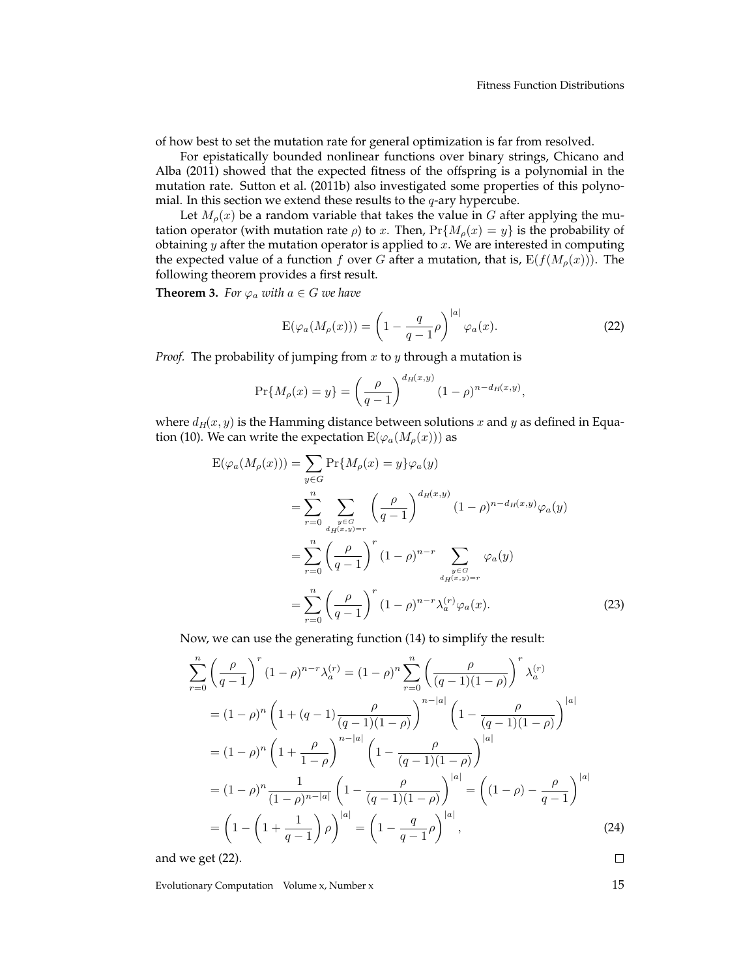of how best to set the mutation rate for general optimization is far from resolved.

For epistatically bounded nonlinear functions over binary strings, Chicano and Alba (2011) showed that the expected fitness of the offspring is a polynomial in the mutation rate. Sutton et al. (2011b) also investigated some properties of this polynomial. In this section we extend these results to the  $q$ -ary hypercube.

Let  $M_{\rho}(x)$  be a random variable that takes the value in G after applying the mutation operator (with mutation rate  $\rho$ ) to x. Then,  $Pr{M_{\rho}(x) = y}$  is the probability of obtaining  $y$  after the mutation operator is applied to  $x$ . We are interested in computing the expected value of a function f over G after a mutation, that is,  $E(f(M_\rho(x)))$ . The following theorem provides a first result.

**Theorem 3.** *For*  $\varphi_a$  *with*  $a \in G$  *we have* 

$$
E(\varphi_a(M_\rho(x))) = \left(1 - \frac{q}{q-1}\rho\right)^{|a|} \varphi_a(x).
$$
 (22)

*Proof.* The probability of jumping from  $x$  to  $y$  through a mutation is

$$
\Pr\{M_{\rho}(x) = y\} = \left(\frac{\rho}{q-1}\right)^{d_H(x,y)} (1-\rho)^{n-d_H(x,y)},
$$

where  $d_H(x, y)$  is the Hamming distance between solutions x and y as defined in Equation (10). We can write the expectation  $E(\varphi_a(M_\rho(x)))$  as

$$
E(\varphi_a(M_{\rho}(x))) = \sum_{y \in G} \Pr\{M_{\rho}(x) = y\} \varphi_a(y)
$$
  
= 
$$
\sum_{r=0}^n \sum_{\substack{y \in G \\ d_H(x,y) = r}} \left(\frac{\rho}{q-1}\right)^{d_H(x,y)} (1-\rho)^{n-d_H(x,y)} \varphi_a(y)
$$
  
= 
$$
\sum_{r=0}^n \left(\frac{\rho}{q-1}\right)^r (1-\rho)^{n-r} \sum_{\substack{y \in G \\ d_H(x,y) = r}} \varphi_a(y)
$$
  
= 
$$
\sum_{r=0}^n \left(\frac{\rho}{q-1}\right)^r (1-\rho)^{n-r} \lambda_a^{(r)} \varphi_a(x).
$$
 (23)

Now, we can use the generating function (14) to simplify the result:

$$
\sum_{r=0}^{n} \left(\frac{\rho}{q-1}\right)^{r} (1-\rho)^{n-r} \lambda_{a}^{(r)} = (1-\rho)^{n} \sum_{r=0}^{n} \left(\frac{\rho}{(q-1)(1-\rho)}\right)^{r} \lambda_{a}^{(r)}
$$
  
\n
$$
= (1-\rho)^{n} \left(1+(q-1)\frac{\rho}{(q-1)(1-\rho)}\right)^{n-|a|} \left(1-\frac{\rho}{(q-1)(1-\rho)}\right)^{|a|}
$$
  
\n
$$
= (1-\rho)^{n} \left(1+\frac{\rho}{1-\rho}\right)^{n-|a|} \left(1-\frac{\rho}{(q-1)(1-\rho)}\right)^{|a|}
$$
  
\n
$$
= (1-\rho)^{n} \frac{1}{(1-\rho)^{n-|a|}} \left(1-\frac{\rho}{(q-1)(1-\rho)}\right)^{|a|} = \left((1-\rho)-\frac{\rho}{q-1}\right)^{|a|}
$$
  
\n
$$
= \left(1-\left(1+\frac{1}{q-1}\right)\rho\right)^{|a|} = \left(1-\frac{q}{q-1}\rho\right)^{|a|}, \tag{24}
$$
  
\nwe get (22).

and we get (22).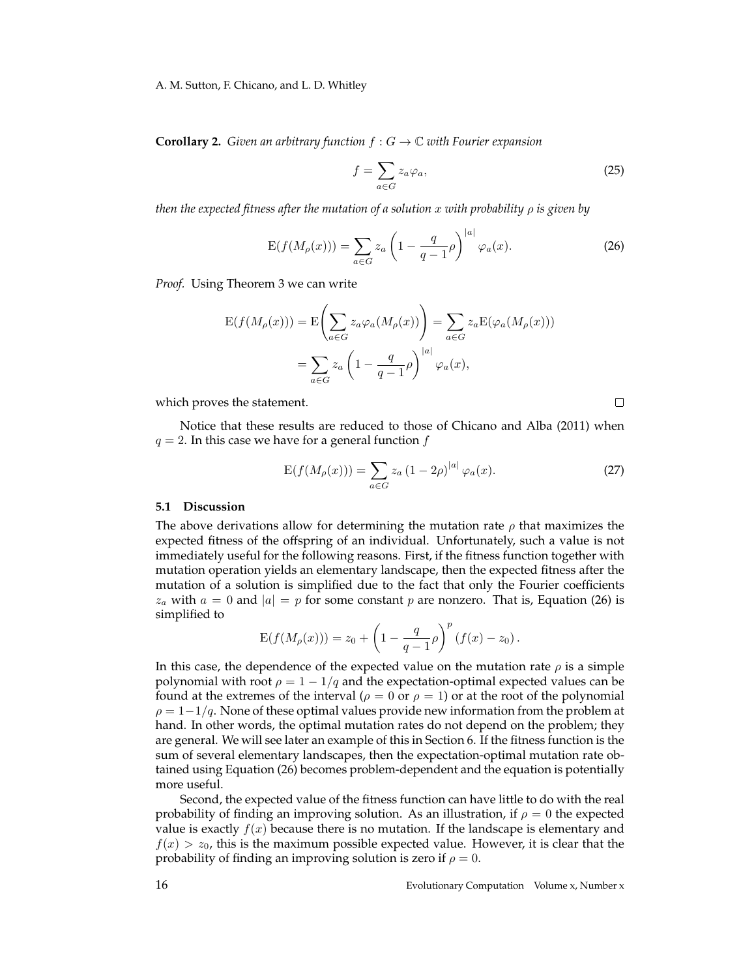#### A. M. Sutton, F. Chicano, and L. D. Whitley

**Corollary 2.** *Given an arbitrary function*  $f: G \to \mathbb{C}$  *with Fourier expansion* 

$$
f = \sum_{a \in G} z_a \varphi_a,\tag{25}
$$

 $\Box$ 

*then the expected fitness after the mutation of a solution* x *with probability* ρ *is given by*

$$
E(f(M_{\rho}(x))) = \sum_{a \in G} z_a \left(1 - \frac{q}{q-1}\rho\right)^{|a|} \varphi_a(x). \tag{26}
$$

*Proof.* Using Theorem 3 we can write

$$
E(f(M_{\rho}(x))) = E\left(\sum_{a \in G} z_a \varphi_a(M_{\rho}(x))\right) = \sum_{a \in G} z_a E(\varphi_a(M_{\rho}(x)))
$$

$$
= \sum_{a \in G} z_a \left(1 - \frac{q}{q-1}\rho\right)^{|a|} \varphi_a(x),
$$

which proves the statement.

Notice that these results are reduced to those of Chicano and Alba (2011) when  $q = 2$ . In this case we have for a general function f

$$
E(f(M_{\rho}(x))) = \sum_{a \in G} z_a (1 - 2\rho)^{|a|} \varphi_a(x).
$$
 (27)

#### **5.1 Discussion**

The above derivations allow for determining the mutation rate  $\rho$  that maximizes the expected fitness of the offspring of an individual. Unfortunately, such a value is not immediately useful for the following reasons. First, if the fitness function together with mutation operation yields an elementary landscape, then the expected fitness after the mutation of a solution is simplified due to the fact that only the Fourier coefficients  $z_a$  with  $a = 0$  and  $|a| = p$  for some constant p are nonzero. That is, Equation (26) is simplified to

$$
E(f(M_{\rho}(x))) = z_0 + \left(1 - \frac{q}{q-1}\rho\right)^p (f(x) - z_0).
$$

In this case, the dependence of the expected value on the mutation rate  $\rho$  is a simple polynomial with root  $\rho = 1 - 1/q$  and the expectation-optimal expected values can be found at the extremes of the interval ( $\rho = 0$  or  $\rho = 1$ ) or at the root of the polynomial  $\rho = 1-1/q$ . None of these optimal values provide new information from the problem at hand. In other words, the optimal mutation rates do not depend on the problem; they are general. We will see later an example of this in Section 6. If the fitness function is the sum of several elementary landscapes, then the expectation-optimal mutation rate obtained using Equation (26) becomes problem-dependent and the equation is potentially more useful.

Second, the expected value of the fitness function can have little to do with the real probability of finding an improving solution. As an illustration, if  $\rho = 0$  the expected value is exactly  $f(x)$  because there is no mutation. If the landscape is elementary and  $f(x) > z_0$ , this is the maximum possible expected value. However, it is clear that the probability of finding an improving solution is zero if  $\rho = 0$ .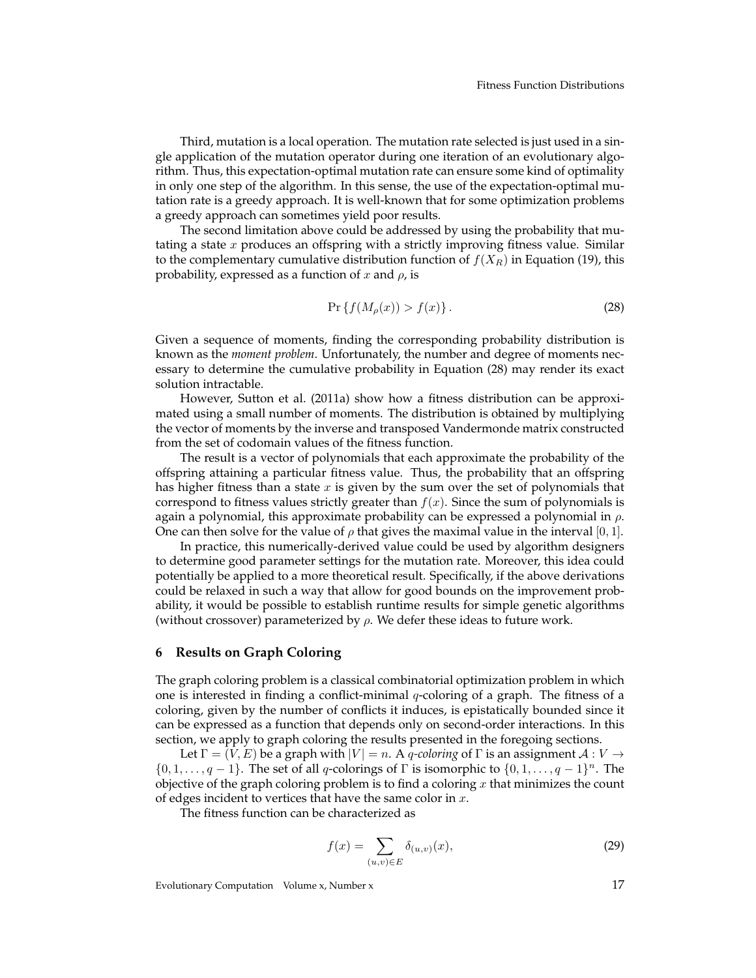Third, mutation is a local operation. The mutation rate selected is just used in a single application of the mutation operator during one iteration of an evolutionary algorithm. Thus, this expectation-optimal mutation rate can ensure some kind of optimality in only one step of the algorithm. In this sense, the use of the expectation-optimal mutation rate is a greedy approach. It is well-known that for some optimization problems a greedy approach can sometimes yield poor results.

The second limitation above could be addressed by using the probability that mutating a state  $x$  produces an offspring with a strictly improving fitness value. Similar to the complementary cumulative distribution function of  $f(X_R)$  in Equation (19), this probability, expressed as a function of x and  $\rho$ , is

$$
\Pr\left\{f(M_{\rho}(x)) > f(x)\right\}.\tag{28}
$$

Given a sequence of moments, finding the corresponding probability distribution is known as the *moment problem*. Unfortunately, the number and degree of moments necessary to determine the cumulative probability in Equation (28) may render its exact solution intractable.

However, Sutton et al. (2011a) show how a fitness distribution can be approximated using a small number of moments. The distribution is obtained by multiplying the vector of moments by the inverse and transposed Vandermonde matrix constructed from the set of codomain values of the fitness function.

The result is a vector of polynomials that each approximate the probability of the offspring attaining a particular fitness value. Thus, the probability that an offspring has higher fitness than a state  $x$  is given by the sum over the set of polynomials that correspond to fitness values strictly greater than  $f(x)$ . Since the sum of polynomials is again a polynomial, this approximate probability can be expressed a polynomial in  $\rho$ . One can then solve for the value of  $\rho$  that gives the maximal value in the interval [0, 1].

In practice, this numerically-derived value could be used by algorithm designers to determine good parameter settings for the mutation rate. Moreover, this idea could potentially be applied to a more theoretical result. Specifically, if the above derivations could be relaxed in such a way that allow for good bounds on the improvement probability, it would be possible to establish runtime results for simple genetic algorithms (without crossover) parameterized by  $\rho$ . We defer these ideas to future work.

### **6 Results on Graph Coloring**

The graph coloring problem is a classical combinatorial optimization problem in which one is interested in finding a conflict-minimal  $q$ -coloring of a graph. The fitness of a coloring, given by the number of conflicts it induces, is epistatically bounded since it can be expressed as a function that depends only on second-order interactions. In this section, we apply to graph coloring the results presented in the foregoing sections.

Let  $\Gamma = (V, E)$  be a graph with  $|V| = n$ . A *q-coloring* of  $\Gamma$  is an assignment  $\mathcal{A}: V \to$  $\{0, 1, \ldots, q-1\}$ . The set of all q-colorings of  $\Gamma$  is isomorphic to  $\{0, 1, \ldots, q-1\}^n$ . The objective of the graph coloring problem is to find a coloring  $x$  that minimizes the count of edges incident to vertices that have the same color in  $x$ .

The fitness function can be characterized as

$$
f(x) = \sum_{(u,v)\in E} \delta_{(u,v)}(x),
$$
\n(29)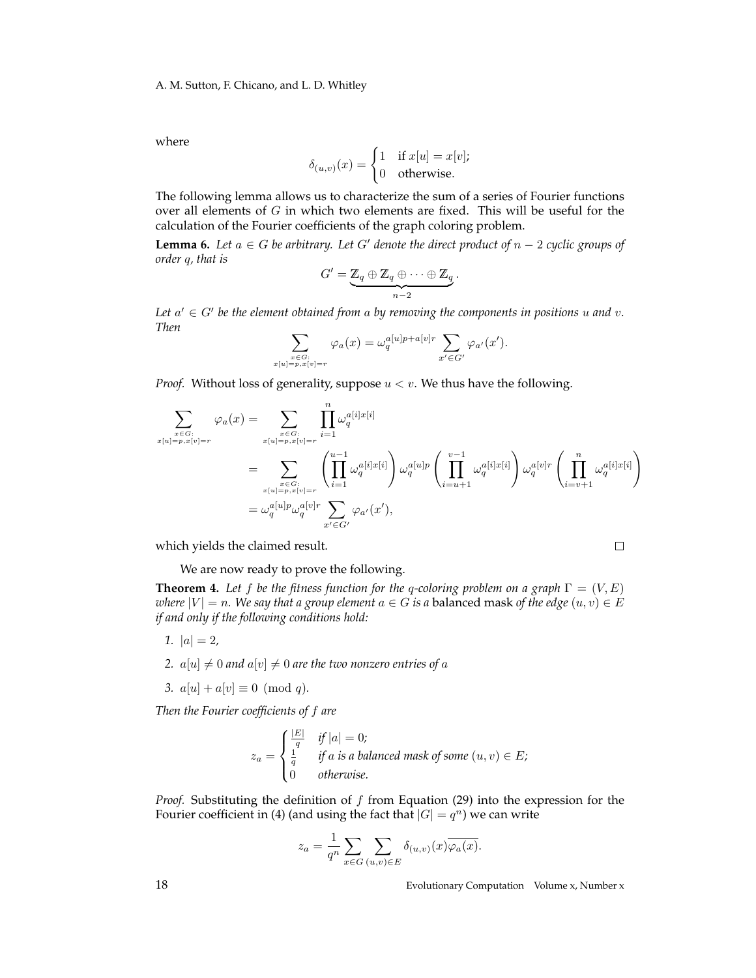where

$$
\delta_{(u,v)}(x) = \begin{cases} 1 & \text{if } x[u] = x[v]; \\ 0 & \text{otherwise.} \end{cases}
$$

The following lemma allows us to characterize the sum of a series of Fourier functions over all elements of  $G$  in which two elements are fixed. This will be useful for the calculation of the Fourier coefficients of the graph coloring problem.

**Lemma 6.** Let  $a \in G$  be arbitrary. Let G' denote the direct product of  $n - 2$  cyclic groups of *order* q*, that is*

$$
G' = \underbrace{\mathbb{Z}_q \oplus \mathbb{Z}_q \oplus \cdots \oplus \mathbb{Z}_q}_{n-2}.
$$

Let  $a' \in G'$  be the element obtained from  $a$  by removing the components in positions  $u$  and  $v$ . *Then*

$$
\sum_{\substack{x \in G:\\x[u]=p,x[v]=r}} \varphi_a(x) = \omega_q^{a[u]p+a[v]r} \sum_{x' \in G'} \varphi_{a'}(x').
$$

*Proof.* Without loss of generality, suppose  $u < v$ . We thus have the following.

$$
\sum_{\substack{x \in G:\\x[u]=p,x[v]=r}} \varphi_a(x) = \sum_{\substack{x \in G:\\x[u]=p,x[v]=r}} \prod_{i=1}^n \omega_q^{a[i]x[i]}
$$
\n
$$
= \sum_{\substack{x \in G:\\x[u]=p,x[v]=r}} \left(\prod_{i=1}^{u-1} \omega_q^{a[i]x[i]}\right) \omega_q^{a[u]p} \left(\prod_{i=u+1}^{v-1} \omega_q^{a[i]x[i]}\right) \omega_q^{a[v]r} \left(\prod_{i=v+1}^n \omega_q^{a[i]x[i]}\right)
$$
\n
$$
= \omega_q^{a[u]p} \omega_q^{a[v]r} \sum_{x' \in G'} \varphi_{a'}(x'),
$$

which yields the claimed result.

 $\Box$ 

We are now ready to prove the following.

**Theorem 4.** Let f be the fitness function for the q-coloring problem on a graph  $\Gamma = (V, E)$ *where*  $|V| = n$ *. We say that a group element*  $a \in G$  *is a* balanced mask of the edge  $(u, v) \in E$ *if and only if the following conditions hold:*

- *1.*  $|a| = 2$ ,
- 2.  $a[u] \neq 0$  *and*  $a[v] \neq 0$  *are the two nonzero entries of* a
- *3.*  $a[u] + a[v] \equiv 0 \pmod{q}$ .

*Then the Fourier coefficients of* f *are*

$$
z_a = \begin{cases} \frac{|E|}{q} & \text{if } |a| = 0; \\ \frac{1}{q} & \text{if } a \text{ is a balanced mask of some } (u, v) \in E; \\ 0 & \text{otherwise.} \end{cases}
$$

*Proof.* Substituting the definition of  $f$  from Equation (29) into the expression for the Fourier coefficient in (4) (and using the fact that  $|G|=q^n$ ) we can write

$$
z_a = \frac{1}{q^n} \sum_{x \in G} \sum_{(u,v) \in E} \delta_{(u,v)}(x) \overline{\varphi_a(x)}.
$$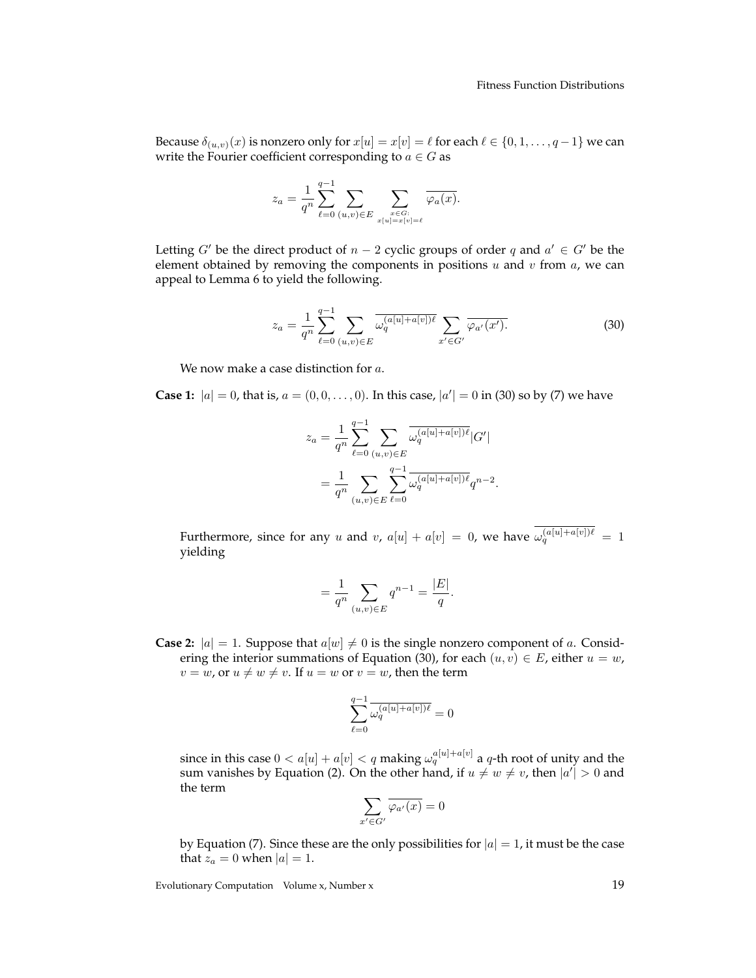Because  $\delta_{(u,v)}(x)$  is nonzero only for  $x[u] = x[v] = \ell$  for each  $\ell \in \{0, 1, \ldots, q-1\}$  we can write the Fourier coefficient corresponding to  $a \in G$  as

$$
z_a = \frac{1}{q^n} \sum_{\ell=0}^{q-1} \sum_{(u,v) \in E} \sum_{\substack{x \in G:\\x[u]=x[v]=\ell}} \overline{\varphi_a(x)}.
$$

Letting G' be the direct product of  $n - 2$  cyclic groups of order q and  $a' \in G'$  be the element obtained by removing the components in positions  $u$  and  $v$  from  $a$ , we can appeal to Lemma 6 to yield the following.

$$
z_a = \frac{1}{q^n} \sum_{\ell=0}^{q-1} \sum_{(u,v)\in E} \overline{\omega_q^{(a[u]+a[v])\ell}} \sum_{x'\in G'} \overline{\varphi_{a'}(x')}.
$$
 (30)

We now make a case distinction for a.

**Case 1:**  $|a| = 0$ , that is,  $a = (0, 0, \dots, 0)$ . In this case,  $|a'| = 0$  in (30) so by (7) we have

$$
z_a = \frac{1}{q^n} \sum_{\ell=0}^{q-1} \sum_{(u,v) \in E} \overline{\omega_q^{(a[u] + a[v])\ell}} |G'|
$$
  
= 
$$
\frac{1}{q^n} \sum_{(u,v) \in E} \sum_{\ell=0}^{q-1} \overline{\omega_q^{(a[u] + a[v])\ell}} q^{n-2}.
$$

Furthermore, since for any u and v,  $a[u] + a[v] = 0$ , we have  $\omega_q^{(a[u] + a[v])\ell} = 1$ yielding

$$
= \frac{1}{q^n} \sum_{(u,v) \in E} q^{n-1} = \frac{|E|}{q}.
$$

**Case 2:**  $|a| = 1$ . Suppose that  $a[w] \neq 0$  is the single nonzero component of a. Considering the interior summations of Equation (30), for each  $(u, v) \in E$ , either  $u = w$ ,  $v = w$ , or  $u \neq w \neq v$ . If  $u = w$  or  $v = w$ , then the term

$$
\sum_{\ell=0}^{q-1} \overline{\omega_q^{(a[u]+a[v])\ell}} = 0
$$

since in this case  $0 < a[u] + a[v] < q$  making  $\omega_q^{a[u] + a[v]}$  a  $q$ -th root of unity and the sum vanishes by Equation (2). On the other hand, if  $u \neq w \neq v$ , then  $|a'| > 0$  and the term

$$
\sum_{x' \in G'} \overline{\varphi_{a'}(x)} = 0
$$

by Equation (7). Since these are the only possibilities for  $|a| = 1$ , it must be the case that  $z_a = 0$  when  $|a| = 1$ .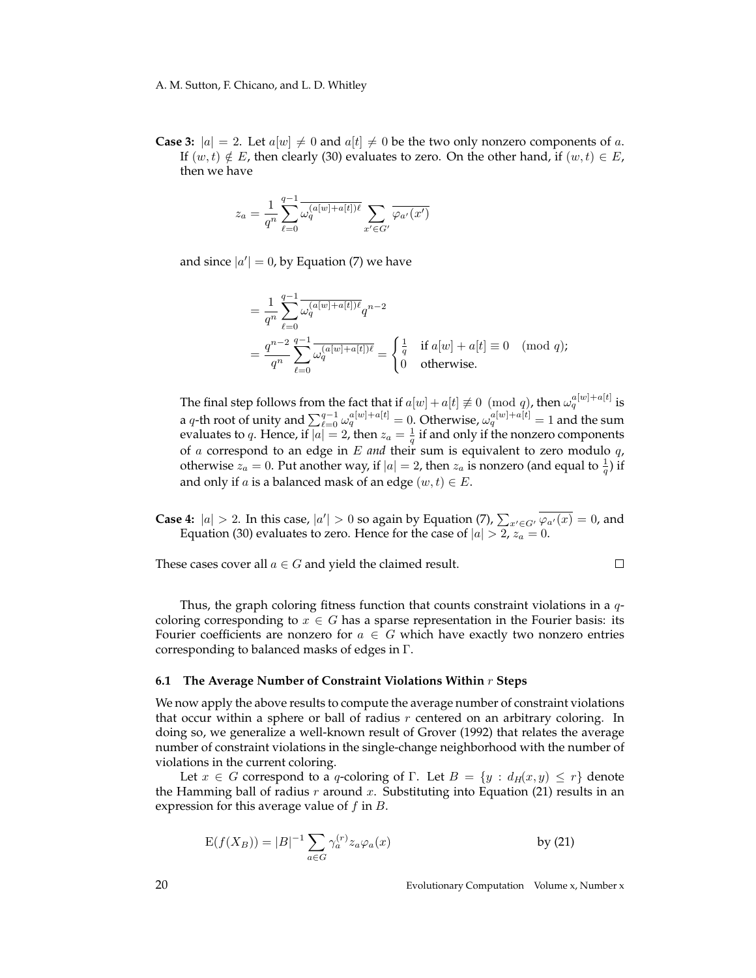**Case 3:**  $|a| = 2$ . Let  $a[w] \neq 0$  and  $a[t] \neq 0$  be the two only nonzero components of a. If  $(w, t) \notin E$ , then clearly (30) evaluates to zero. On the other hand, if  $(w, t) \in E$ , then we have

$$
z_a = \frac{1}{q^n} \sum_{\ell=0}^{q-1} \overline{\omega_q^{(a[w]+a[t])\ell}} \sum_{x' \in G'} \overline{\varphi_{a'}(x')}
$$

and since  $|a'| = 0$ , by Equation (7) we have

$$
= \frac{1}{q^n} \sum_{\ell=0}^{q-1} \overline{\omega_q^{(a[w]+a[t])\ell}} q^{n-2}
$$
  
= 
$$
\frac{q^{n-2}}{q^n} \sum_{\ell=0}^{q-1} \overline{\omega_q^{(a[w]+a[t])\ell}} = \begin{cases} \frac{1}{q} & \text{if } a[w] + a[t] \equiv 0 \pmod{q}; \\ 0 & \text{otherwise}. \end{cases}
$$

The final step follows from the fact that if  $a[w] + a[t] \not\equiv 0 \pmod{q}$ , then  $\omega_q^{a[w]+a[t]}$  is a q-th root of unity and  $\sum_{\ell=0}^{q-1} \omega_q^{a[w]+a[t]} = 0$ . Otherwise,  $\omega_q^{a[w]+a[t]} = 1$  and the sum evaluates to q. Hence, if  $|a|=2$ , then  $z_a=\frac{1}{q}$  if and only if the nonzero components of a correspond to an edge in E *and* their sum is equivalent to zero modulo q, otherwise  $z_a = 0$ . Put another way, if  $|a| = 2$ , then  $z_a$  is nonzero (and equal to  $\frac{1}{q}$ ) if and only if *a* is a balanced mask of an edge  $(w, t) \in E$ .

**Case 4:**  $|a| > 2$ . In this case,  $|a'| > 0$  so again by Equation (7),  $\sum_{x' \in G'} \overline{\varphi_{a'}(x)} = 0$ , and Equation (30) evaluates to zero. Hence for the case of  $|a| > 2$ ,  $z_a = 0$ .

These cases cover all  $a \in G$  and yield the claimed result.

 $\Box$ 

Thus, the graph coloring fitness function that counts constraint violations in a  $q$ coloring corresponding to  $x \in G$  has a sparse representation in the Fourier basis: its Fourier coefficients are nonzero for  $a \in G$  which have exactly two nonzero entries corresponding to balanced masks of edges in Γ.

#### **6.1 The Average Number of Constraint Violations Within** r **Steps**

We now apply the above results to compute the average number of constraint violations that occur within a sphere or ball of radius  $r$  centered on an arbitrary coloring. In doing so, we generalize a well-known result of Grover (1992) that relates the average number of constraint violations in the single-change neighborhood with the number of violations in the current coloring.

Let  $x \in G$  correspond to a q-coloring of  $\Gamma$ . Let  $B = \{y : d_H(x, y) \leq r\}$  denote the Hamming ball of radius r around x. Substituting into Equation (21) results in an expression for this average value of  $f$  in  $B$ .

$$
E(f(X_B)) = |B|^{-1} \sum_{a \in G} \gamma_a^{(r)} z_a \varphi_a(x)
$$
 by (21)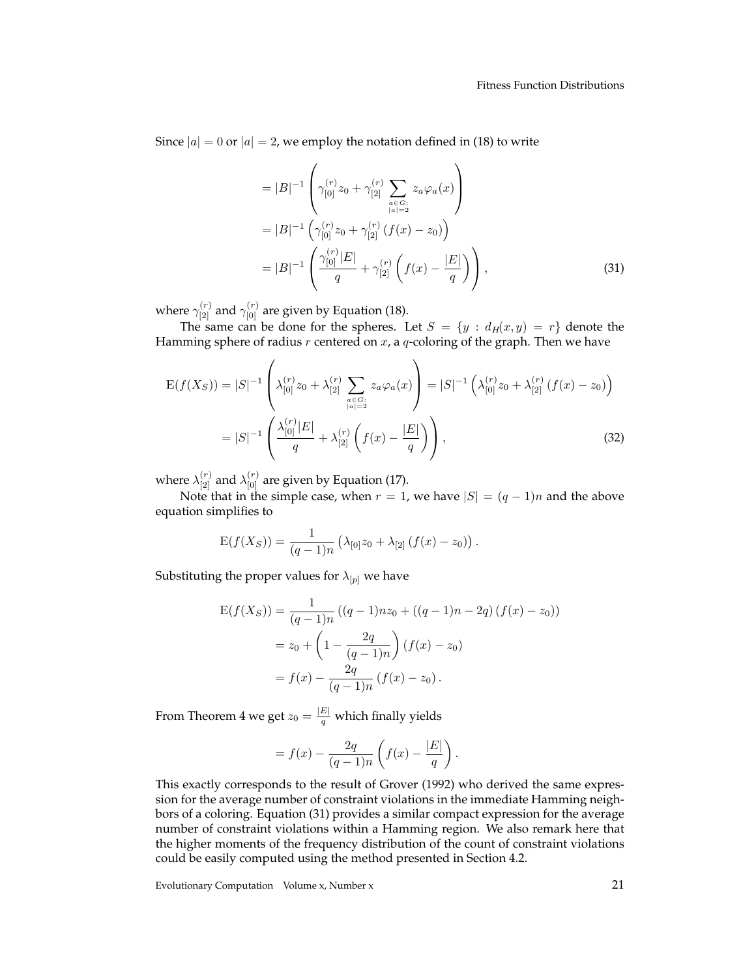Since  $|a| = 0$  or  $|a| = 2$ , we employ the notation defined in (18) to write

$$
=|B|^{-1}\left(\gamma_{[0]}^{(r)}z_{0}+\gamma_{[2]}^{(r)}\sum_{\substack{a\in G:\\|a|=2}}z_{a}\varphi_{a}(x)\right)
$$
  

$$
=|B|^{-1}\left(\gamma_{[0]}^{(r)}z_{0}+\gamma_{[2]}^{(r)}(f(x)-z_{0})\right)
$$
  

$$
=|B|^{-1}\left(\frac{\gamma_{[0]}^{(r)}|E|}{q}+\gamma_{[2]}^{(r)}\left(f(x)-\frac{|E|}{q}\right)\right),
$$
 (31)

where  $\gamma^{(r)}_{[2]}$  and  $\gamma^{(r)}_{[0]}$  are given by Equation (18).

The same can be done for the spheres. Let  $S = \{y : d_H(x, y) = r\}$  denote the Hamming sphere of radius  $r$  centered on  $x$ , a  $q$ -coloring of the graph. Then we have

$$
E(f(X_S)) = |S|^{-1} \left( \lambda_{[0]}^{(r)} z_0 + \lambda_{[2]}^{(r)} \sum_{\substack{a \in G:\\|a| = 2}} z_a \varphi_a(x) \right) = |S|^{-1} \left( \lambda_{[0]}^{(r)} z_0 + \lambda_{[2]}^{(r)} \left( f(x) - z_0 \right) \right)
$$
  
= 
$$
|S|^{-1} \left( \frac{\lambda_{[0]}^{(r)} |E|}{q} + \lambda_{[2]}^{(r)} \left( f(x) - \frac{|E|}{q} \right) \right),
$$
 (32)

where  $\lambda_{[2]}^{(r)}$  and  $\lambda_{[0]}^{(r)}$  are given by Equation (17).

Note that in the simple case, when  $r = 1$ , we have  $|S| = (q - 1)n$  and the above equation simplifies to

$$
E(f(X_S)) = \frac{1}{(q-1)n} \left( \lambda_{[0]} z_0 + \lambda_{[2]} \left( f(x) - z_0 \right) \right).
$$

Substituting the proper values for  $\lambda_{[p]}$  we have

$$
E(f(X_S)) = \frac{1}{(q-1)n} ((q-1)nz_0 + ((q-1)n - 2q) (f(x) - z_0))
$$
  
=  $z_0 + \left(1 - \frac{2q}{(q-1)n}\right) (f(x) - z_0)$   
=  $f(x) - \frac{2q}{(q-1)n} (f(x) - z_0).$ 

From Theorem 4 we get  $z_0 = \frac{|E|}{q}$  which finally yields

$$
= f(x) - \frac{2q}{(q-1)n} \left( f(x) - \frac{|E|}{q} \right).
$$

This exactly corresponds to the result of Grover (1992) who derived the same expression for the average number of constraint violations in the immediate Hamming neighbors of a coloring. Equation (31) provides a similar compact expression for the average number of constraint violations within a Hamming region. We also remark here that the higher moments of the frequency distribution of the count of constraint violations could be easily computed using the method presented in Section 4.2.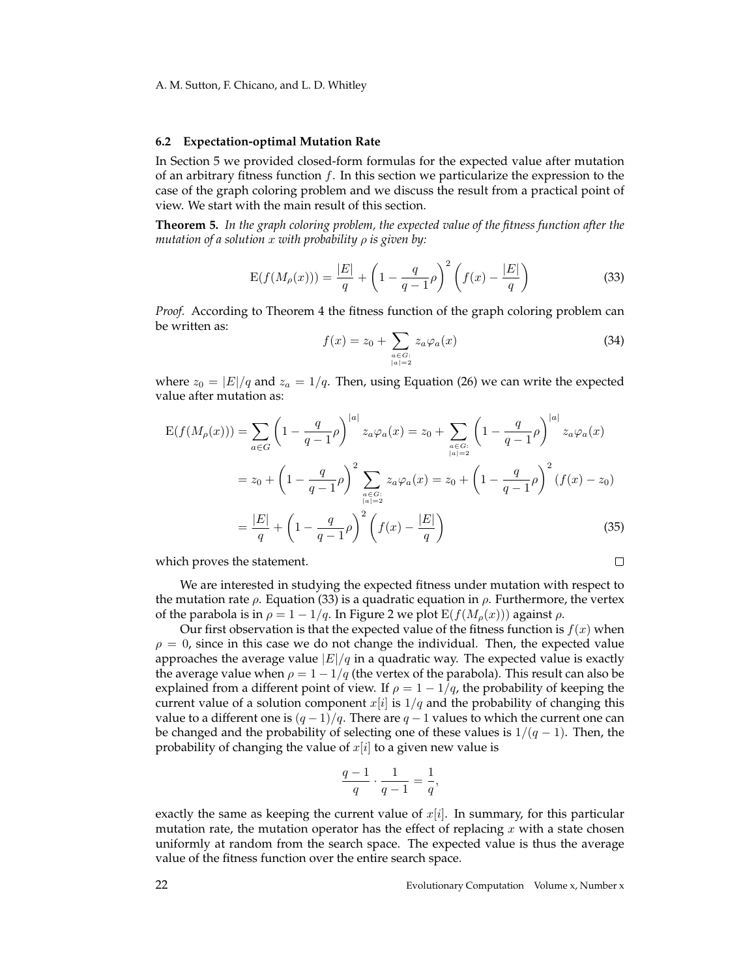#### **6.2 Expectation-optimal Mutation Rate**

In Section 5 we provided closed-form formulas for the expected value after mutation of an arbitrary fitness function  $f$ . In this section we particularize the expression to the case of the graph coloring problem and we discuss the result from a practical point of view. We start with the main result of this section.

**Theorem 5.** *In the graph coloring problem, the expected value of the fitness function after the mutation of a solution* x *with probability* ρ *is given by:*

$$
E(f(M_{\rho}(x))) = \frac{|E|}{q} + \left(1 - \frac{q}{q-1}\rho\right)^2 \left(f(x) - \frac{|E|}{q}\right)
$$
 (33)

*Proof.* According to Theorem 4 the fitness function of the graph coloring problem can be written as:

$$
f(x) = z_0 + \sum_{\substack{a \in G: \\ |a| = 2}} z_a \varphi_a(x)
$$
 (34)

where  $z_0 = |E|/q$  and  $z_a = 1/q$ . Then, using Equation (26) we can write the expected value after mutation as:

$$
E(f(M_{\rho}(x))) = \sum_{a \in G} \left(1 - \frac{q}{q-1}\rho\right)^{|a|} z_a \varphi_a(x) = z_0 + \sum_{\substack{a \in G:\\|a| = 2}} \left(1 - \frac{q}{q-1}\rho\right)^{|a|} z_a \varphi_a(x)
$$

$$
= z_0 + \left(1 - \frac{q}{q-1}\rho\right)^2 \sum_{\substack{a \in G:\\|a| = 2}} z_a \varphi_a(x) = z_0 + \left(1 - \frac{q}{q-1}\rho\right)^2 (f(x) - z_0)
$$

$$
= \frac{|E|}{q} + \left(1 - \frac{q}{q-1}\rho\right)^2 \left(f(x) - \frac{|E|}{q}\right) \tag{35}
$$

which proves the statement.

We are interested in studying the expected fitness under mutation with respect to the mutation rate  $\rho$ . Equation (33) is a quadratic equation in  $\rho$ . Furthermore, the vertex of the parabola is in  $\rho = 1 - 1/q$ . In Figure 2 we plot  $E(f(M_\rho(x)))$  against  $\rho$ .

Our first observation is that the expected value of the fitness function is  $f(x)$  when  $\rho = 0$ , since in this case we do not change the individual. Then, the expected value approaches the average value  $|E|/q$  in a quadratic way. The expected value is exactly the average value when  $\rho = 1 - 1/q$  (the vertex of the parabola). This result can also be explained from a different point of view. If  $\rho = 1 - 1/q$ , the probability of keeping the current value of a solution component  $x[i]$  is  $1/q$  and the probability of changing this value to a different one is  $(q - 1)/q$ . There are  $q - 1$  values to which the current one can be changed and the probability of selecting one of these values is  $1/(q-1)$ . Then, the probability of changing the value of  $x[i]$  to a given new value is

$$
\frac{q-1}{q} \cdot \frac{1}{q-1} = \frac{1}{q},
$$

exactly the same as keeping the current value of  $x[i]$ . In summary, for this particular mutation rate, the mutation operator has the effect of replacing  $x$  with a state chosen uniformly at random from the search space. The expected value is thus the average value of the fitness function over the entire search space.

 $\Box$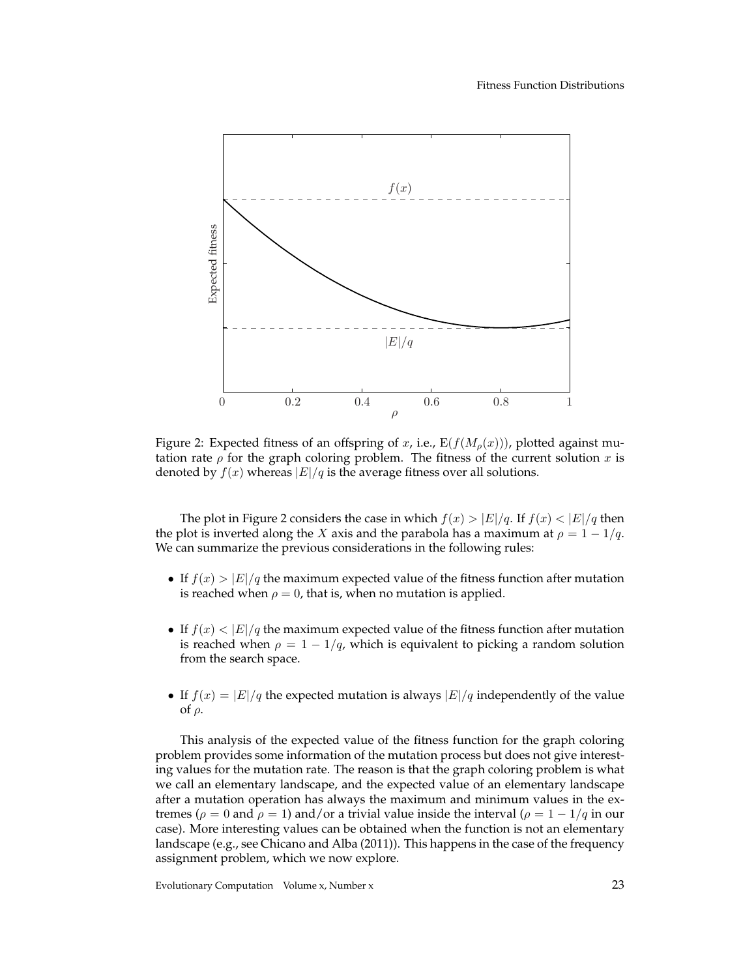

Figure 2: Expected fitness of an offspring of x, i.e.,  $E(f(M_\rho(x)))$ , plotted against mutation rate  $\rho$  for the graph coloring problem. The fitness of the current solution x is denoted by  $f(x)$  whereas  $|E|/q$  is the average fitness over all solutions.

The plot in Figure 2 considers the case in which  $f(x) > |E|/q$ . If  $f(x) < |E|/q$  then the plot is inverted along the X axis and the parabola has a maximum at  $\rho = 1 - 1/q$ . We can summarize the previous considerations in the following rules:

- If  $f(x) > |E|/q$  the maximum expected value of the fitness function after mutation is reached when  $\rho = 0$ , that is, when no mutation is applied.
- If  $f(x) < |E|/q$  the maximum expected value of the fitness function after mutation is reached when  $\rho = 1 - 1/q$ , which is equivalent to picking a random solution from the search space.
- If  $f(x) = |E|/q$  the expected mutation is always  $|E|/q$  independently of the value of ρ.

This analysis of the expected value of the fitness function for the graph coloring problem provides some information of the mutation process but does not give interesting values for the mutation rate. The reason is that the graph coloring problem is what we call an elementary landscape, and the expected value of an elementary landscape after a mutation operation has always the maximum and minimum values in the extremes ( $\rho = 0$  and  $\rho = 1$ ) and/or a trivial value inside the interval ( $\rho = 1 - 1/q$  in our case). More interesting values can be obtained when the function is not an elementary landscape (e.g., see Chicano and Alba (2011)). This happens in the case of the frequency assignment problem, which we now explore.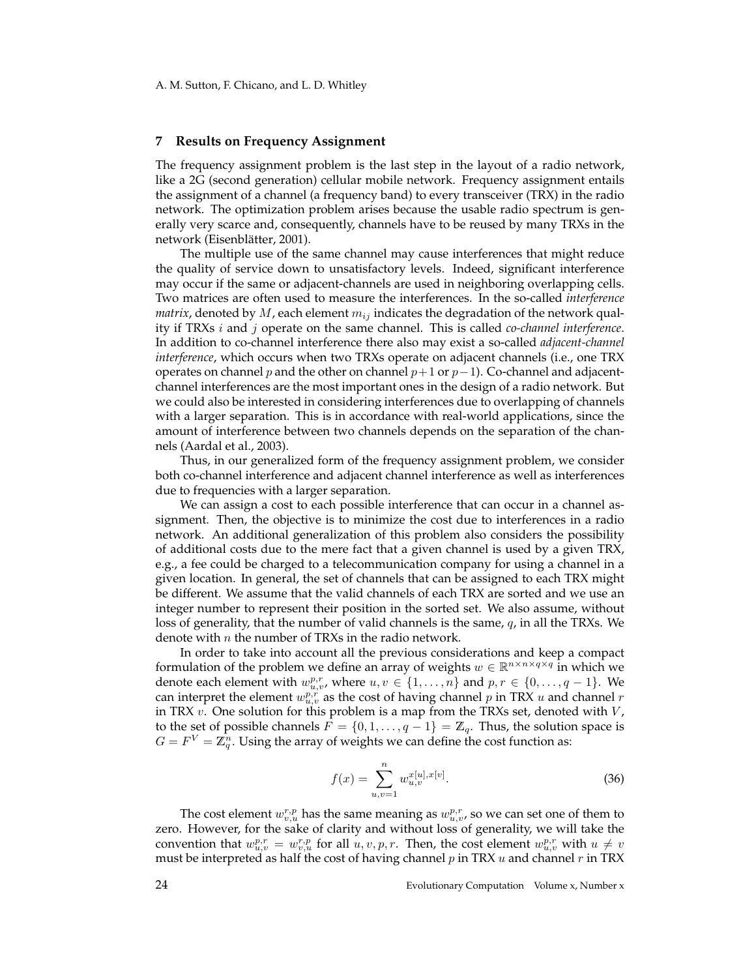#### **7 Results on Frequency Assignment**

The frequency assignment problem is the last step in the layout of a radio network, like a 2G (second generation) cellular mobile network. Frequency assignment entails the assignment of a channel (a frequency band) to every transceiver (TRX) in the radio network. The optimization problem arises because the usable radio spectrum is generally very scarce and, consequently, channels have to be reused by many TRXs in the network (Eisenblätter, 2001).

The multiple use of the same channel may cause interferences that might reduce the quality of service down to unsatisfactory levels. Indeed, significant interference may occur if the same or adjacent-channels are used in neighboring overlapping cells. Two matrices are often used to measure the interferences. In the so-called *interference matrix*, denoted by  $M$ , each element  $m_{ij}$  indicates the degradation of the network quality if TRXs i and j operate on the same channel. This is called *co-channel interference*. In addition to co-channel interference there also may exist a so-called *adjacent-channel interference*, which occurs when two TRXs operate on adjacent channels (i.e., one TRX operates on channel p and the other on channel  $p+1$  or  $p-1$ ). Co-channel and adjacentchannel interferences are the most important ones in the design of a radio network. But we could also be interested in considering interferences due to overlapping of channels with a larger separation. This is in accordance with real-world applications, since the amount of interference between two channels depends on the separation of the channels (Aardal et al., 2003).

Thus, in our generalized form of the frequency assignment problem, we consider both co-channel interference and adjacent channel interference as well as interferences due to frequencies with a larger separation.

We can assign a cost to each possible interference that can occur in a channel assignment. Then, the objective is to minimize the cost due to interferences in a radio network. An additional generalization of this problem also considers the possibility of additional costs due to the mere fact that a given channel is used by a given TRX, e.g., a fee could be charged to a telecommunication company for using a channel in a given location. In general, the set of channels that can be assigned to each TRX might be different. We assume that the valid channels of each TRX are sorted and we use an integer number to represent their position in the sorted set. We also assume, without loss of generality, that the number of valid channels is the same,  $q$ , in all the TRXs. We denote with  $n$  the number of TRXs in the radio network.

In order to take into account all the previous considerations and keep a compact formulation of the problem we define an array of weights  $w \in \mathbb{R}^{n \times n \times q \times q}$  in which we denote each element with  $w_{u,v}^{p,r}$ , where  $u, v \in \{1, \ldots, n\}$  and  $p, r \in \{0, \ldots, q-1\}$ . We can interpret the element  $w_{u,v}^{p,r}$  as the cost of having channel  $p$  in TRX  $u$  and channel  $r$ in TRX  $v$ . One solution for this problem is a map from the TRXs set, denoted with  $V$ , to the set of possible channels  $F = \{0, 1, \ldots, q - 1\} = \mathbb{Z}_q$ . Thus, the solution space is  $G = F^V = \hat{\mathbb{Z}_q^n}.$  Using the array of weights we can define the cost function as:

$$
f(x) = \sum_{u,v=1}^{n} w_{u,v}^{x[u],x[v]}.
$$
 (36)

The cost element  $w_{v,u}^{r,p}$  has the same meaning as  $w_{u,v}^{p,r}$ , so we can set one of them to zero. However, for the sake of clarity and without loss of generality, we will take the convention that  $w_{u,v}^{p,r} = w_{v,u}^{r,p}$  for all  $u, v, p, r$ . Then, the cost element  $w_{u,v}^{p,r}$  with  $u \neq v$ must be interpreted as half the cost of having channel  $p$  in TRX  $u$  and channel  $r$  in TRX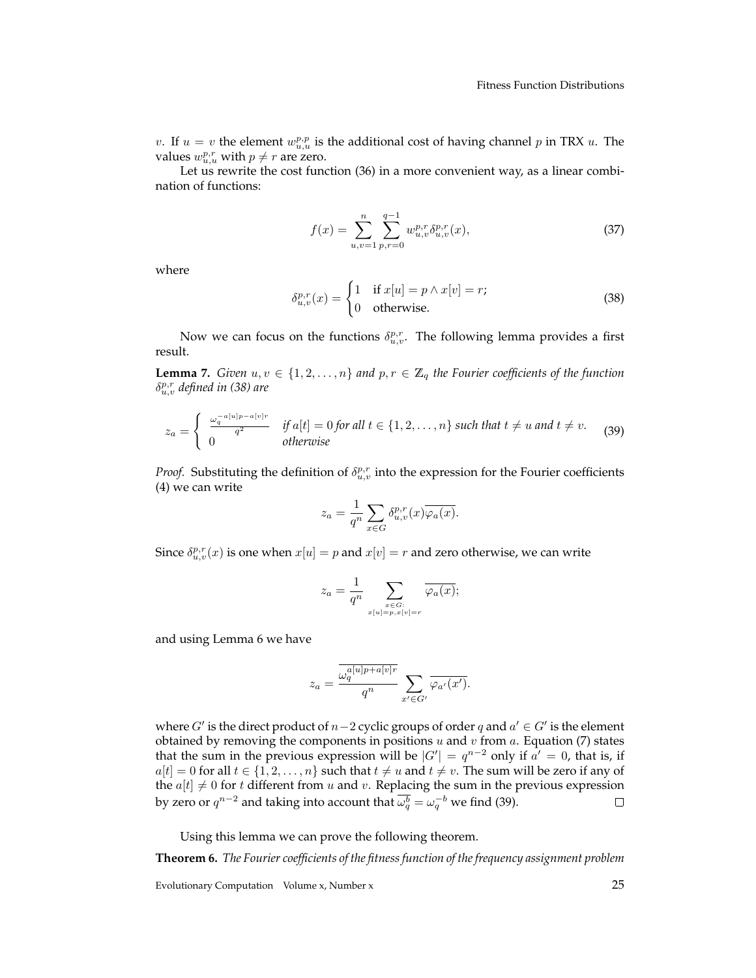v. If  $u = v$  the element  $w_{u,u}^{p,p}$  is the additional cost of having channel p in TRX u. The values  $w_{u,u}^{p,r}$  with  $p \neq r$  are zero.

Let us rewrite the cost function (36) in a more convenient way, as a linear combination of functions:

$$
f(x) = \sum_{u,v=1}^{n} \sum_{p,r=0}^{q-1} w_{u,v}^{p,r} \delta_{u,v}^{p,r}(x),
$$
\n(37)

where

$$
\delta_{u,v}^{p,r}(x) = \begin{cases} 1 & \text{if } x[u] = p \land x[v] = r; \\ 0 & \text{otherwise.} \end{cases}
$$
 (38)

Now we can focus on the functions  $\delta_{u,v}^{p,r}$ . The following lemma provides a first result.

**Lemma 7.** *Given*  $u, v \in \{1, 2, ..., n\}$  *and*  $p, r \in \mathbb{Z}_q$  *the Fourier coefficients of the function* δ p,r u,v *defined in (38) are*

$$
z_a = \begin{cases} \frac{\omega_q^{-a[u]p-a[v]r}}{q^2} & \text{if } a[t] = 0 \text{ for all } t \in \{1, 2, \dots, n\} \text{ such that } t \neq u \text{ and } t \neq v. \\ 0 & \text{otherwise} \end{cases}
$$
 (39)

*Proof.* Substituting the definition of  $\delta_{u,v}^{p,r}$  into the expression for the Fourier coefficients (4) we can write

$$
z_a = \frac{1}{q^n} \sum_{x \in G} \delta_{u,v}^{p,r}(x) \overline{\varphi_a(x)}.
$$

Since  $\delta_{u,v}^{p,r}(x)$  is one when  $x[u] = p$  and  $x[v] = r$  and zero otherwise, we can write

$$
z_a = \frac{1}{q^n} \sum_{\substack{x \in G:\\x[u] = p, x[v] = r}} \overline{\varphi_a(x)};
$$

and using Lemma 6 we have

$$
z_a = \frac{\overline{\omega_q^{a[u]p+a[v]r}}}{q^n} \sum_{x' \in G'} \overline{\varphi_{a'}(x')}.
$$

where  $G'$  is the direct product of  $n-2$  cyclic groups of order q and  $a' \in G'$  is the element obtained by removing the components in positions  $u$  and  $v$  from  $a$ . Equation (7) states that the sum in the previous expression will be  $|G'| = q^{n-2}$  only if  $a' = 0$ , that is, if  $a[t] = 0$  for all  $t \in \{1, 2, ..., n\}$  such that  $t \neq u$  and  $t \neq v$ . The sum will be zero if any of the  $a[t] \neq 0$  for t different from u and v. Replacing the sum in the previous expression by zero or  $q^{n-2}$  and taking into account that  $\overline{\omega^b_q} = \omega^{-b}_q$  we find (39).  $\Box$ 

Using this lemma we can prove the following theorem.

**Theorem 6.** *The Fourier coefficients of the fitness function of the frequency assignment problem*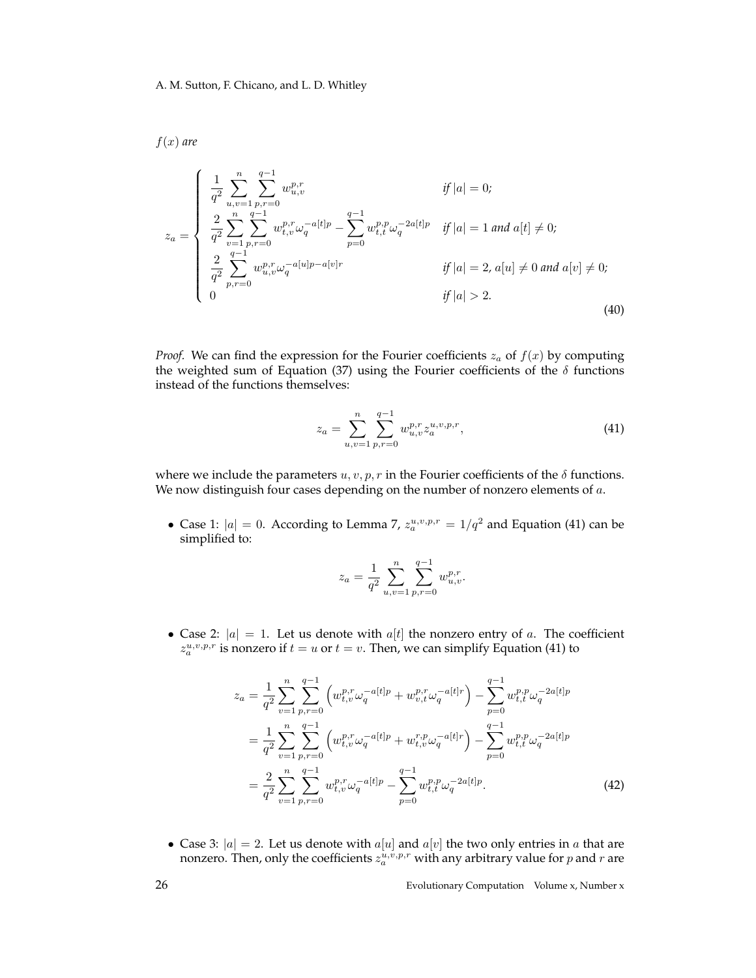$f(x)$  are

$$
z_{a} = \begin{cases} \frac{1}{q^{2}} \sum_{u,v=1}^{n} \sum_{p,r=0}^{q-1} w_{u,v}^{p,r} & \text{if } |a| = 0; \\ \frac{2}{q^{2}} \sum_{v=1}^{n} \sum_{p,r=0}^{q-1} w_{t,v}^{p,r} \omega_{q}^{-a[t]p} - \sum_{p=0}^{q-1} w_{t,t}^{p,p} \omega_{q}^{-2a[t]p} & \text{if } |a| = 1 \text{ and } a[t] \neq 0; \\ \frac{2}{q^{2}} \sum_{p,r=0}^{q-1} w_{u,v}^{p,r} \omega_{q}^{-a[u]p-a[v]r} & \text{if } |a| = 2, a[u] \neq 0 \text{ and } a[v] \neq 0; \\ 0 & \text{if } |a| > 2. \end{cases}
$$
(40)

*Proof.* We can find the expression for the Fourier coefficients  $z_a$  of  $f(x)$  by computing the weighted sum of Equation (37) using the Fourier coefficients of the  $\delta$  functions instead of the functions themselves:

$$
z_a = \sum_{u,v=1}^n \sum_{p,r=0}^{q-1} w_{u,v}^{p,r} z_a^{u,v,p,r}, \tag{41}
$$

where we include the parameters  $u, v, p, r$  in the Fourier coefficients of the  $\delta$  functions. We now distinguish four cases depending on the number of nonzero elements of  $a$ .

• Case 1:  $|a| = 0$ . According to Lemma 7,  $z_a^{u,v,p,r} = 1/q^2$  and Equation (41) can be simplified to:

$$
z_a = \frac{1}{q^2} \sum_{u,v=1}^n \sum_{p,r=0}^{q-1} w_{u,v}^{p,r}.
$$

• Case 2:  $|a| = 1$ . Let us denote with  $a[t]$  the nonzero entry of a. The coefficient  $z_a^{u,v,p,r}$  is nonzero if  $t = u$  or  $t = v$ . Then, we can simplify Equation (41) to

$$
z_{a} = \frac{1}{q^{2}} \sum_{v=1}^{n} \sum_{p,r=0}^{q-1} \left( w_{t,v}^{p,r} \omega_{q}^{-a[t]p} + w_{v,t}^{p,r} \omega_{q}^{-a[t]r} \right) - \sum_{p=0}^{q-1} w_{t,t}^{p,p} \omega_{q}^{-2a[t]p}
$$
  

$$
= \frac{1}{q^{2}} \sum_{v=1}^{n} \sum_{p,r=0}^{q-1} \left( w_{t,v}^{p,r} \omega_{q}^{-a[t]p} + w_{t,v}^{r,p} \omega_{q}^{-a[t]r} \right) - \sum_{p=0}^{q-1} w_{t,t}^{p,p} \omega_{q}^{-2a[t]p}
$$
  

$$
= \frac{2}{q^{2}} \sum_{v=1}^{n} \sum_{p,r=0}^{q-1} w_{t,v}^{p,r} \omega_{q}^{-a[t]p} - \sum_{p=0}^{q-1} w_{t,t}^{p,p} \omega_{q}^{-2a[t]p}.
$$
 (42)

• Case 3:  $|a| = 2$ . Let us denote with  $a[u]$  and  $a[v]$  the two only entries in a that are nonzero. Then, only the coefficients  $z_a^{u,v,p,r}$  with any arbitrary value for  $p$  and  $r$  are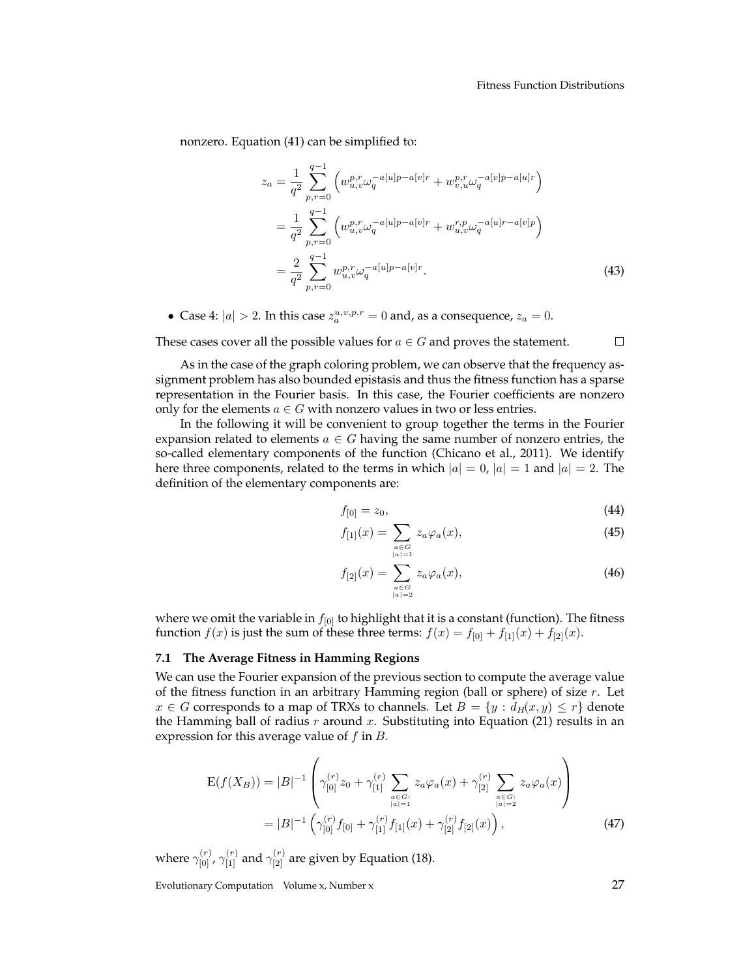nonzero. Equation (41) can be simplified to:

$$
z_a = \frac{1}{q^2} \sum_{p,r=0}^{q-1} \left( w_{u,v}^{p,r} \omega_q^{-a[u]p-a[v]r} + w_{v,u}^{p,r} \omega_q^{-a[v]p-a[u]r} \right)
$$
  

$$
= \frac{1}{q^2} \sum_{p,r=0}^{q-1} \left( w_{u,v}^{p,r} \omega_q^{-a[u]p-a[v]r} + w_{u,v}^{r,p} \omega_q^{-a[u]r-a[v]p} \right)
$$
  

$$
= \frac{2}{q^2} \sum_{p,r=0}^{q-1} w_{u,v}^{p,r} \omega_q^{-a[u]p-a[v]r}.
$$
 (43)

• Case 4:  $|a| > 2$ . In this case  $z_a^{u,v,p,r} = 0$  and, as a consequence,  $z_a = 0$ .

These cases cover all the possible values for  $a \in G$  and proves the statement.  $\Box$ 

As in the case of the graph coloring problem, we can observe that the frequency assignment problem has also bounded epistasis and thus the fitness function has a sparse representation in the Fourier basis. In this case, the Fourier coefficients are nonzero only for the elements  $a \in G$  with nonzero values in two or less entries.

In the following it will be convenient to group together the terms in the Fourier expansion related to elements  $a \in G$  having the same number of nonzero entries, the so-called elementary components of the function (Chicano et al., 2011). We identify here three components, related to the terms in which  $|a| = 0$ ,  $|a| = 1$  and  $|a| = 2$ . The definition of the elementary components are:

$$
f_{[0]} = z_0,\t\t(44)
$$

$$
f_{[1]}(x) = \sum_{\substack{a \in G \\ |a| = 1}} z_a \varphi_a(x), \tag{45}
$$

$$
f_{[2]}(x) = \sum_{\substack{a \in G \\ |a| = 2}} z_a \varphi_a(x),\tag{46}
$$

where we omit the variable in  $f_{[0]}$  to highlight that it is a constant (function). The fitness function  $f(x)$  is just the sum of these three terms:  $f(x) = f_{[0]} + f_{[1]}(x) + f_{[2]}(x)$ .

#### **7.1 The Average Fitness in Hamming Regions**

We can use the Fourier expansion of the previous section to compute the average value of the fitness function in an arbitrary Hamming region (ball or sphere) of size  $r$ . Let  $x \in G$  corresponds to a map of TRXs to channels. Let  $B = \{y : d_H(x, y) \le r\}$  denote the Hamming ball of radius  $r$  around  $x$ . Substituting into Equation (21) results in an expression for this average value of  $f$  in  $B$ .

$$
E(f(X_B)) = |B|^{-1} \left( \gamma_{[0]}^{(r)} z_0 + \gamma_{[1]}^{(r)} \sum_{\substack{a \in G:\\|a|=1}} z_a \varphi_a(x) + \gamma_{[2]}^{(r)} \sum_{\substack{a \in G:\\|a|=2}} z_a \varphi_a(x) \right)
$$
  
=  $|B|^{-1} \left( \gamma_{[0]}^{(r)} f_{[0]} + \gamma_{[1]}^{(r)} f_{[1]}(x) + \gamma_{[2]}^{(r)} f_{[2]}(x) \right),$  (47)

where  $\gamma^{(r)}_{[0]}$ ,  $\gamma^{(r)}_{[1]}$  and  $\gamma^{(r)}_{[2]}$  are given by Equation (18).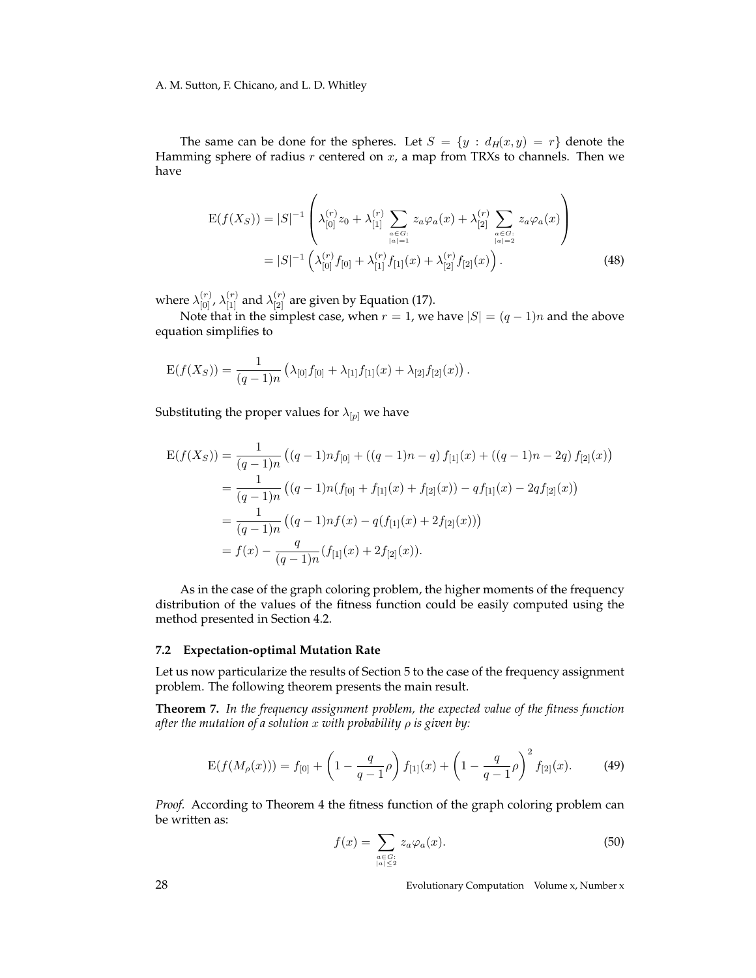A. M. Sutton, F. Chicano, and L. D. Whitley

The same can be done for the spheres. Let  $S = \{y : d_H(x, y) = r\}$  denote the Hamming sphere of radius  $r$  centered on  $x$ , a map from TRXs to channels. Then we have

$$
E(f(X_S)) = |S|^{-1} \left( \lambda_{[0]}^{(r)} z_0 + \lambda_{[1]}^{(r)} \sum_{\substack{a \in G:\\|a|=1}} z_a \varphi_a(x) + \lambda_{[2]}^{(r)} \sum_{\substack{a \in G:\\|a|=2}} z_a \varphi_a(x) \right)
$$
  
=  $|S|^{-1} \left( \lambda_{[0]}^{(r)} f_{[0]} + \lambda_{[1]}^{(r)} f_{[1]}(x) + \lambda_{[2]}^{(r)} f_{[2]}(x) \right).$  (48)

where  $\lambda_{[0]}^{(r)}$ ,  $\lambda_{[1]}^{(r)}$  and  $\lambda_{[2]}^{(r)}$  are given by Equation (17).

Note that in the simplest case, when  $r = 1$ , we have  $|S| = (q - 1)n$  and the above equation simplifies to

$$
E(f(X_S)) = \frac{1}{(q-1)n} \left( \lambda_{[0]} f_{[0]} + \lambda_{[1]} f_{[1]}(x) + \lambda_{[2]} f_{[2]}(x) \right).
$$

Substituting the proper values for  $\lambda_{[p]}$  we have

$$
E(f(X_S)) = \frac{1}{(q-1)n} ((q-1)n f_{[0]} + ((q-1)n - q) f_{[1]}(x) + ((q-1)n - 2q) f_{[2]}(x))
$$
  
= 
$$
\frac{1}{(q-1)n} ((q-1)n(f_{[0]} + f_{[1]}(x) + f_{[2]}(x)) - q f_{[1]}(x) - 2q f_{[2]}(x))
$$
  
= 
$$
\frac{1}{(q-1)n} ((q-1)n f(x) - q(f_{[1]}(x) + 2f_{[2]}(x)))
$$
  
= 
$$
f(x) - \frac{q}{(q-1)n} (f_{[1]}(x) + 2f_{[2]}(x)).
$$

As in the case of the graph coloring problem, the higher moments of the frequency distribution of the values of the fitness function could be easily computed using the method presented in Section 4.2.

#### **7.2 Expectation-optimal Mutation Rate**

Let us now particularize the results of Section 5 to the case of the frequency assignment problem. The following theorem presents the main result.

**Theorem 7.** *In the frequency assignment problem, the expected value of the fitness function after the mutation of a solution* x *with probability* ρ *is given by:*

$$
E(f(M_{\rho}(x))) = f_{[0]} + \left(1 - \frac{q}{q-1}\rho\right)f_{[1]}(x) + \left(1 - \frac{q}{q-1}\rho\right)^2 f_{[2]}(x).
$$
 (49)

*Proof.* According to Theorem 4 the fitness function of the graph coloring problem can be written as:

$$
f(x) = \sum_{\substack{a \in G: \\ |a| \le 2}} z_a \varphi_a(x). \tag{50}
$$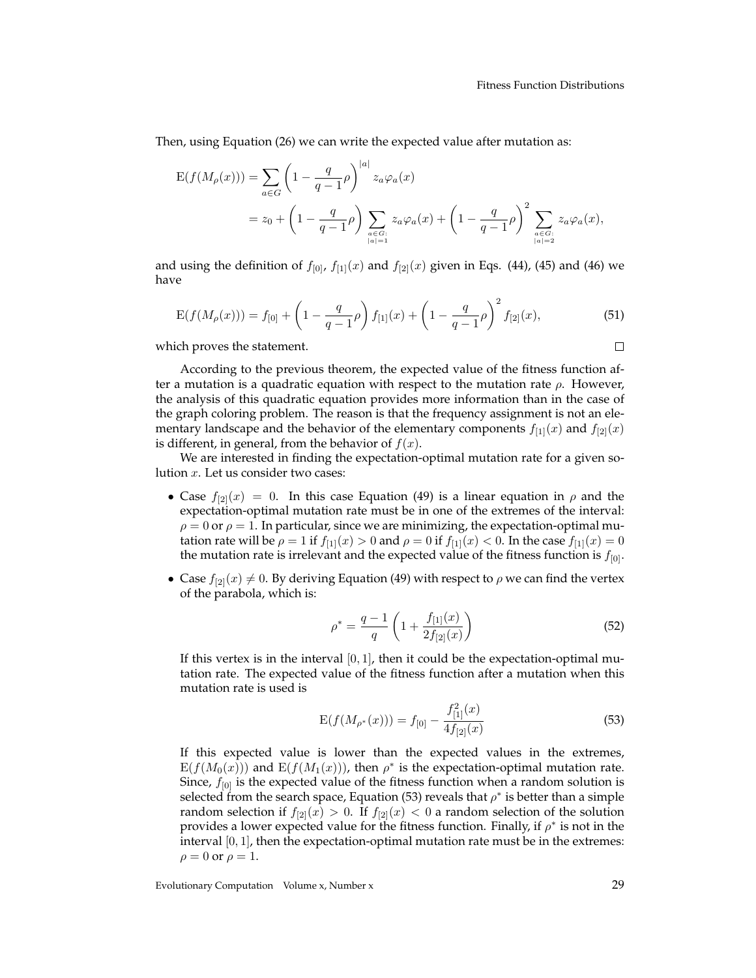Then, using Equation (26) we can write the expected value after mutation as:

$$
E(f(M_{\rho}(x))) = \sum_{a \in G} \left(1 - \frac{q}{q-1}\rho\right)^{|a|} z_a \varphi_a(x)
$$
  
=  $z_0 + \left(1 - \frac{q}{q-1}\rho\right) \sum_{\substack{a \in G:\\|a|=1}} z_a \varphi_a(x) + \left(1 - \frac{q}{q-1}\rho\right)^2 \sum_{\substack{a \in G:\\|a|=2}} z_a \varphi_a(x),$ 

and using the definition of  $f_{[0]}$ ,  $f_{[1]}(x)$  and  $f_{[2]}(x)$  given in Eqs. (44), (45) and (46) we have

$$
E(f(M_{\rho}(x))) = f_{[0]} + \left(1 - \frac{q}{q-1}\rho\right)f_{[1]}(x) + \left(1 - \frac{q}{q-1}\rho\right)^2 f_{[2]}(x),\tag{51}
$$

which proves the statement.

According to the previous theorem, the expected value of the fitness function after a mutation is a quadratic equation with respect to the mutation rate  $\rho$ . However, the analysis of this quadratic equation provides more information than in the case of the graph coloring problem. The reason is that the frequency assignment is not an elementary landscape and the behavior of the elementary components  $f_{[1]}(x)$  and  $f_{[2]}(x)$ is different, in general, from the behavior of  $f(x)$ .

We are interested in finding the expectation-optimal mutation rate for a given solution x. Let us consider two cases:

- Case  $f_{[2]}(x) = 0$ . In this case Equation (49) is a linear equation in  $\rho$  and the expectation-optimal mutation rate must be in one of the extremes of the interval:  $\rho = 0$  or  $\rho = 1$ . In particular, since we are minimizing, the expectation-optimal mutation rate will be  $\rho = 1$  if  $f_{[1]}(x) > 0$  and  $\rho = 0$  if  $f_{[1]}(x) < 0$ . In the case  $f_{[1]}(x) = 0$ the mutation rate is irrelevant and the expected value of the fitness function is  $f_{[0]}$ .
- Case  $f_{[2]}(x) \neq 0$ . By deriving Equation (49) with respect to  $\rho$  we can find the vertex of the parabola, which is:

$$
\rho^* = \frac{q-1}{q} \left( 1 + \frac{f_{[1]}(x)}{2f_{[2]}(x)} \right) \tag{52}
$$

If this vertex is in the interval  $[0, 1]$ , then it could be the expectation-optimal mutation rate. The expected value of the fitness function after a mutation when this mutation rate is used is

$$
E(f(M_{\rho^*}(x))) = f_{[0]} - \frac{f_{[1]}^2(x)}{4f_{[2]}(x)}
$$
\n(53)

If this expected value is lower than the expected values in the extremes,  $E(f(M_0(x)))$  and  $E(f(M_1(x)))$ , then  $\rho^*$  is the expectation-optimal mutation rate. Since,  $f_{[0]}$  is the expected value of the fitness function when a random solution is selected from the search space, Equation (53) reveals that  $\rho^*$  is better than a simple random selection if  $f_{[2]}(x) > 0$ . If  $f_{[2]}(x) < 0$  a random selection of the solution provides a lower expected value for the fitness function. Finally, if  $\rho^*$  is not in the interval  $[0, 1]$ , then the expectation-optimal mutation rate must be in the extremes:  $\rho = 0$  or  $\rho = 1$ .

 $\Box$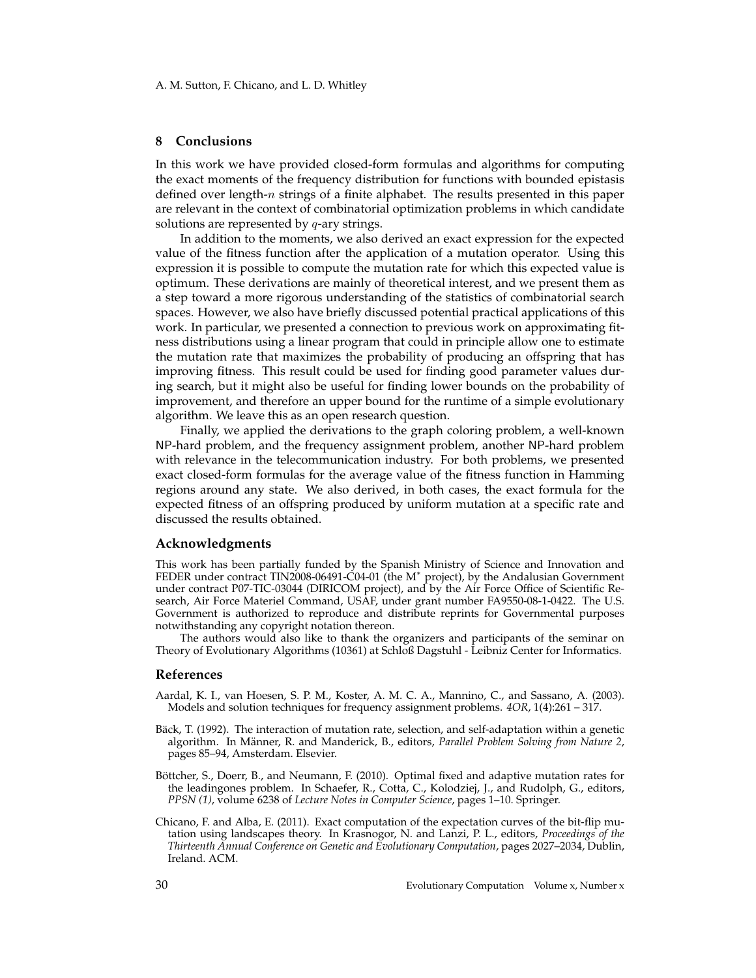#### **8 Conclusions**

In this work we have provided closed-form formulas and algorithms for computing the exact moments of the frequency distribution for functions with bounded epistasis defined over length-*n* strings of a finite alphabet. The results presented in this paper are relevant in the context of combinatorial optimization problems in which candidate solutions are represented by  $q$ -ary strings.

In addition to the moments, we also derived an exact expression for the expected value of the fitness function after the application of a mutation operator. Using this expression it is possible to compute the mutation rate for which this expected value is optimum. These derivations are mainly of theoretical interest, and we present them as a step toward a more rigorous understanding of the statistics of combinatorial search spaces. However, we also have briefly discussed potential practical applications of this work. In particular, we presented a connection to previous work on approximating fitness distributions using a linear program that could in principle allow one to estimate the mutation rate that maximizes the probability of producing an offspring that has improving fitness. This result could be used for finding good parameter values during search, but it might also be useful for finding lower bounds on the probability of improvement, and therefore an upper bound for the runtime of a simple evolutionary algorithm. We leave this as an open research question.

Finally, we applied the derivations to the graph coloring problem, a well-known NP-hard problem, and the frequency assignment problem, another NP-hard problem with relevance in the telecommunication industry. For both problems, we presented exact closed-form formulas for the average value of the fitness function in Hamming regions around any state. We also derived, in both cases, the exact formula for the expected fitness of an offspring produced by uniform mutation at a specific rate and discussed the results obtained.

#### **Acknowledgments**

This work has been partially funded by the Spanish Ministry of Science and Innovation and FEDER under contract TIN2008-06491-C04-01 (the M<sup>∗</sup> project), by the Andalusian Government under contract P07-TIC-03044 (DIRICOM project), and by the Air Force Office of Scientific Research, Air Force Materiel Command, USAF, under grant number FA9550-08-1-0422. The U.S. Government is authorized to reproduce and distribute reprints for Governmental purposes notwithstanding any copyright notation thereon.

The authors would also like to thank the organizers and participants of the seminar on Theory of Evolutionary Algorithms (10361) at Schloß Dagstuhl - Leibniz Center for Informatics.

#### **References**

- Aardal, K. I., van Hoesen, S. P. M., Koster, A. M. C. A., Mannino, C., and Sassano, A. (2003). Models and solution techniques for frequency assignment problems. *4OR*, 1(4):261 – 317.
- Bäck, T. (1992). The interaction of mutation rate, selection, and self-adaptation within a genetic algorithm. In Männer, R. and Manderick, B., editors, Parallel Problem Solving from Nature 2, pages 85–94, Amsterdam. Elsevier.
- Böttcher, S., Doerr, B., and Neumann, F. (2010). Optimal fixed and adaptive mutation rates for the leadingones problem. In Schaefer, R., Cotta, C., Kolodziej, J., and Rudolph, G., editors, *PPSN (1)*, volume 6238 of *Lecture Notes in Computer Science*, pages 1–10. Springer.
- Chicano, F. and Alba, E. (2011). Exact computation of the expectation curves of the bit-flip mutation using landscapes theory. In Krasnogor, N. and Lanzi, P. L., editors, *Proceedings of the Thirteenth Annual Conference on Genetic and Evolutionary Computation*, pages 2027–2034, Dublin, Ireland. ACM.